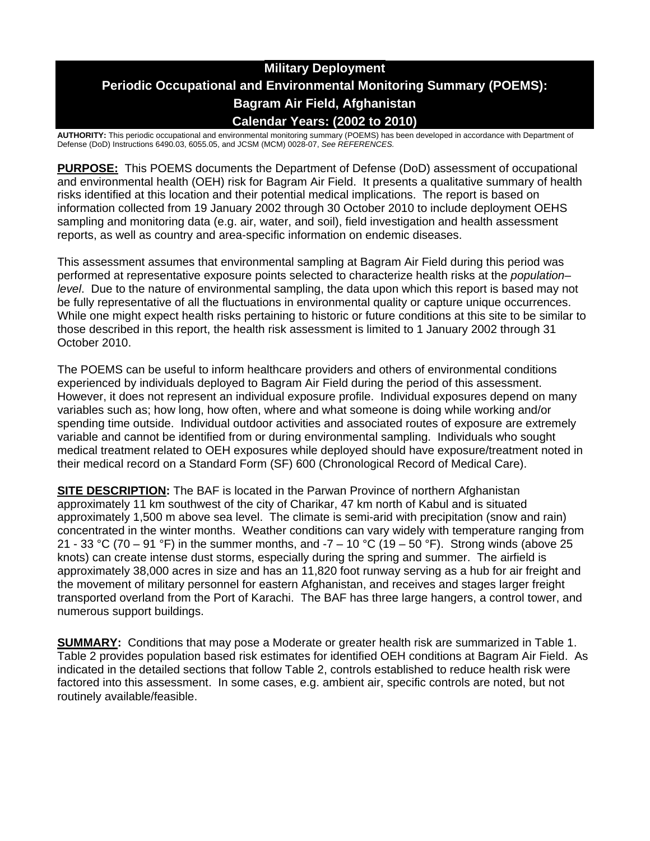# **Military Deployment Periodic Occupational and Environmental Monitoring Summary (POEMS): Bagram Air Field, Afghanistan Calendar Years: (2002 to 2010)**

**AUTHORITY:** This periodic occupational and environmental monitoring summary (POEMS) has been developed in accordance with Department of Defense (DoD) Instructions 6490.03, 6055.05, and JCSM (MCM) 0028-07, *See REFERENCES.*

**PURPOSE:** This POEMS documents the Department of Defense (DoD) assessment of occupational and environmental health (OEH) risk for Bagram Air Field. It presents a qualitative summary of health risks identified at this location and their potential medical implications. The report is based on information collected from 19 January 2002 through 30 October 2010 to include deployment OEHS sampling and monitoring data (e.g. air, water, and soil), field investigation and health assessment reports, as well as country and area-specific information on endemic diseases.

This assessment assumes that environmental sampling at Bagram Air Field during this period was performed at representative exposure points selected to characterize health risks at the *population– level*. Due to the nature of environmental sampling, the data upon which this report is based may not be fully representative of all the fluctuations in environmental quality or capture unique occurrences. While one might expect health risks pertaining to historic or future conditions at this site to be similar to those described in this report, the health risk assessment is limited to 1 January 2002 through 31 October 2010.

The POEMS can be useful to inform healthcare providers and others of environmental conditions experienced by individuals deployed to Bagram Air Field during the period of this assessment. However, it does not represent an individual exposure profile. Individual exposures depend on many variables such as; how long, how often, where and what someone is doing while working and/or spending time outside. Individual outdoor activities and associated routes of exposure are extremely variable and cannot be identified from or during environmental sampling. Individuals who sought medical treatment related to OEH exposures while deployed should have exposure/treatment noted in their medical record on a Standard Form (SF) 600 (Chronological Record of Medical Care).

**SITE DESCRIPTION:** The BAF is located in the Parwan Province of northern Afghanistan approximately 11 km southwest of the city of Charikar, 47 km north of Kabul and is situated approximately 1,500 m above sea level. The climate is semi-arid with precipitation (snow and rain) concentrated in the winter months. Weather conditions can vary widely with temperature ranging from 21 - 33 °C (70 – 91 °F) in the summer months, and -7 – 10 °C (19 – 50 °F). Strong winds (above 25 knots) can create intense dust storms, especially during the spring and summer. The airfield is approximately 38,000 acres in size and has an 11,820 foot runway serving as a hub for air freight and the movement of military personnel for eastern Afghanistan, and receives and stages larger freight transported overland from the Port of Karachi. The BAF has three large hangers, a control tower, and numerous support buildings.

**SUMMARY:** Conditions that may pose a Moderate or greater health risk are summarized in Table 1. Table 2 provides population based risk estimates for identified OEH conditions at Bagram Air Field. As indicated in the detailed sections that follow Table 2, controls established to reduce health risk were factored into this assessment. In some cases, e.g. ambient air, specific controls are noted, but not routinely available/feasible.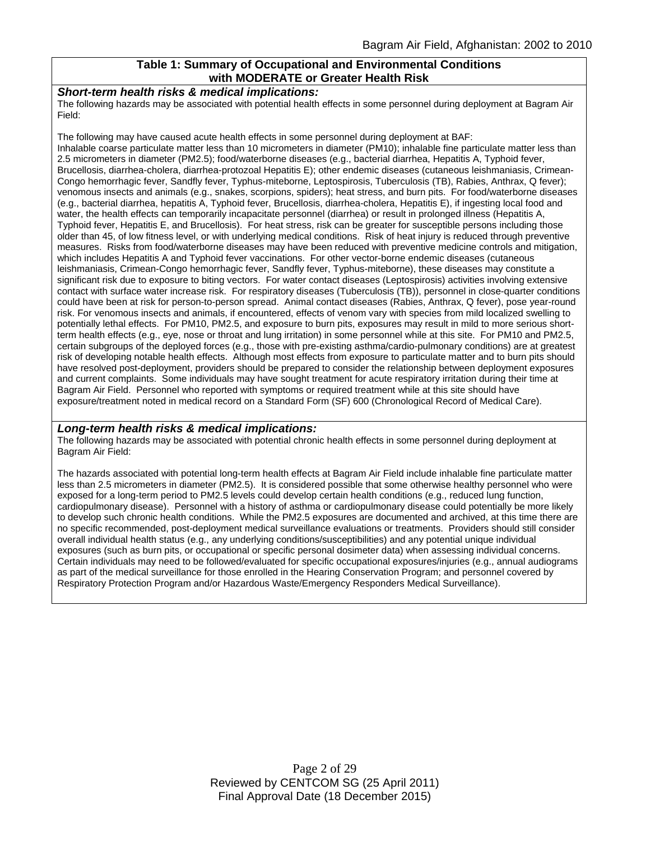### **Table 1: Summary of Occupational and Environmental Conditions with MODERATE or Greater Health Risk**

#### *Short-term health risks & medical implications:*

The following hazards may be associated with potential health effects in some personnel during deployment at Bagram Air Field:

The following may have caused acute health effects in some personnel during deployment at BAF: Inhalable coarse particulate matter less than 10 micrometers in diameter (PM10); inhalable fine particulate matter less than 2.5 micrometers in diameter (PM2.5); food/waterborne diseases (e.g., bacterial diarrhea, Hepatitis A, Typhoid fever, Brucellosis, diarrhea-cholera, diarrhea-protozoal Hepatitis E); other endemic diseases (cutaneous leishmaniasis, Crimean-Congo hemorrhagic fever, Sandfly fever, Typhus-miteborne, Leptospirosis, Tuberculosis (TB), Rabies, Anthrax, Q fever); venomous insects and animals (e.g., snakes, scorpions, spiders); heat stress, and burn pits. For food/waterborne diseases (e.g., bacterial diarrhea, hepatitis A, Typhoid fever, Brucellosis, diarrhea-cholera, Hepatitis E), if ingesting local food and water, the health effects can temporarily incapacitate personnel (diarrhea) or result in prolonged illness (Hepatitis A, Typhoid fever, Hepatitis E, and Brucellosis). For heat stress, risk can be greater for susceptible persons including those older than 45, of low fitness level, or with underlying medical conditions. Risk of heat injury is reduced through preventive measures. Risks from food/waterborne diseases may have been reduced with preventive medicine controls and mitigation, which includes Hepatitis A and Typhoid fever vaccinations. For other vector-borne endemic diseases (cutaneous leishmaniasis, Crimean-Congo hemorrhagic fever, Sandfly fever, Typhus-miteborne), these diseases may constitute a significant risk due to exposure to biting vectors. For water contact diseases (Leptospirosis) activities involving extensive contact with surface water increase risk. For respiratory diseases (Tuberculosis (TB)), personnel in close-quarter conditions could have been at risk for person-to-person spread. Animal contact diseases (Rabies, Anthrax, Q fever), pose year-round risk. For venomous insects and animals, if encountered, effects of venom vary with species from mild localized swelling to potentially lethal effects. For PM10, PM2.5, and exposure to burn pits, exposures may result in mild to more serious shortterm health effects (e.g., eye, nose or throat and lung irritation) in some personnel while at this site. For PM10 and PM2.5, certain subgroups of the deployed forces (e.g., those with pre-existing asthma/cardio-pulmonary conditions) are at greatest risk of developing notable health effects. Although most effects from exposure to particulate matter and to burn pits should have resolved post-deployment, providers should be prepared to consider the relationship between deployment exposures and current complaints. Some individuals may have sought treatment for acute respiratory irritation during their time at Bagram Air Field. Personnel who reported with symptoms or required treatment while at this site should have exposure/treatment noted in medical record on a Standard Form (SF) 600 (Chronological Record of Medical Care).

#### *Long-term health risks & medical implications:*

The following hazards may be associated with potential chronic health effects in some personnel during deployment at Bagram Air Field:

The hazards associated with potential long-term health effects at Bagram Air Field include inhalable fine particulate matter less than 2.5 micrometers in diameter (PM2.5). It is considered possible that some otherwise healthy personnel who were exposed for a long-term period to PM2.5 levels could develop certain health conditions (e.g., reduced lung function, cardiopulmonary disease). Personnel with a history of asthma or cardiopulmonary disease could potentially be more likely to develop such chronic health conditions. While the PM2.5 exposures are documented and archived, at this time there are no specific recommended, post-deployment medical surveillance evaluations or treatments. Providers should still consider overall individual health status (e.g., any underlying conditions/susceptibilities) and any potential unique individual exposures (such as burn pits, or occupational or specific personal dosimeter data) when assessing individual concerns. Certain individuals may need to be followed/evaluated for specific occupational exposures/injuries (e.g., annual audiograms as part of the medical surveillance for those enrolled in the Hearing Conservation Program; and personnel covered by Respiratory Protection Program and/or Hazardous Waste/Emergency Responders Medical Surveillance).

> Page 2 of 29 Reviewed by CENTCOM SG (25 April 2011) Final Approval Date (18 December 2015)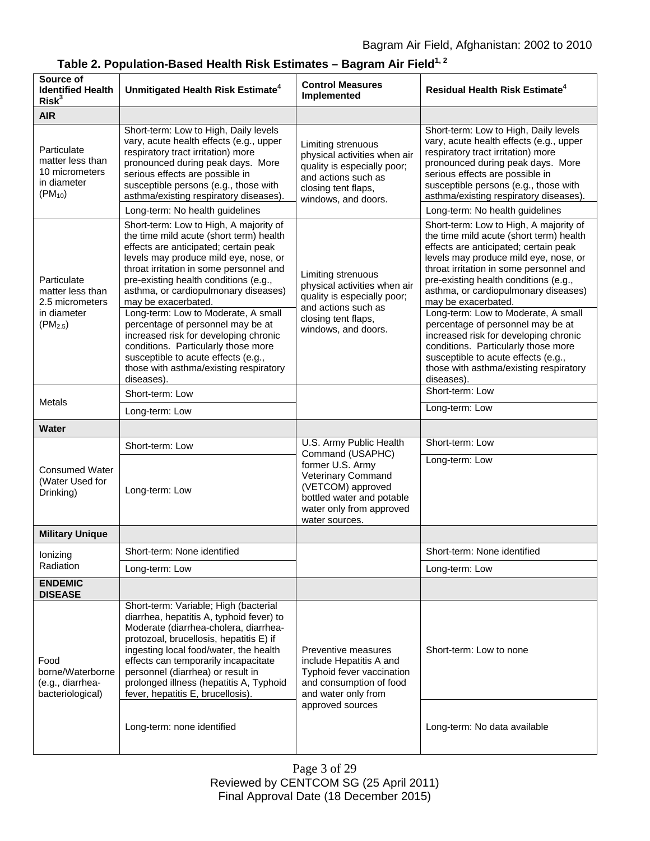| Source of<br><b>Identified Health</b><br>Risk <sup>3</sup>                        | Unmitigated Health Risk Estimate <sup>4</sup>                                                                                                                                                                                                                                                                                                                                                                                                                                                                                           | <b>Control Measures</b><br>Implemented                                                                                                                     | <b>Residual Health Risk Estimate<sup>4</sup></b>                                                                                                                                                                                                                                                                                                                                                                                                                                                                                                                                  |
|-----------------------------------------------------------------------------------|-----------------------------------------------------------------------------------------------------------------------------------------------------------------------------------------------------------------------------------------------------------------------------------------------------------------------------------------------------------------------------------------------------------------------------------------------------------------------------------------------------------------------------------------|------------------------------------------------------------------------------------------------------------------------------------------------------------|-----------------------------------------------------------------------------------------------------------------------------------------------------------------------------------------------------------------------------------------------------------------------------------------------------------------------------------------------------------------------------------------------------------------------------------------------------------------------------------------------------------------------------------------------------------------------------------|
| <b>AIR</b>                                                                        |                                                                                                                                                                                                                                                                                                                                                                                                                                                                                                                                         |                                                                                                                                                            |                                                                                                                                                                                                                                                                                                                                                                                                                                                                                                                                                                                   |
| Particulate<br>matter less than<br>10 micrometers<br>in diameter<br>$(PM_{10})$   | Short-term: Low to High, Daily levels<br>vary, acute health effects (e.g., upper<br>respiratory tract irritation) more<br>pronounced during peak days. More<br>serious effects are possible in<br>susceptible persons (e.g., those with<br>asthma/existing respiratory diseases).                                                                                                                                                                                                                                                       | Limiting strenuous<br>physical activities when air<br>quality is especially poor;<br>and actions such as<br>closing tent flaps,<br>windows, and doors.     | Short-term: Low to High, Daily levels<br>vary, acute health effects (e.g., upper<br>respiratory tract irritation) more<br>pronounced during peak days. More<br>serious effects are possible in<br>susceptible persons (e.g., those with<br>asthma/existing respiratory diseases).                                                                                                                                                                                                                                                                                                 |
|                                                                                   | Long-term: No health guidelines<br>Short-term: Low to High, A majority of                                                                                                                                                                                                                                                                                                                                                                                                                                                               |                                                                                                                                                            | Long-term: No health guidelines                                                                                                                                                                                                                                                                                                                                                                                                                                                                                                                                                   |
| Particulate<br>matter less than<br>2.5 micrometers<br>in diameter<br>$(PM_{2.5})$ | the time mild acute (short term) health<br>effects are anticipated; certain peak<br>levels may produce mild eye, nose, or<br>throat irritation in some personnel and<br>pre-existing health conditions (e.g.,<br>asthma, or cardiopulmonary diseases)<br>may be exacerbated.<br>Long-term: Low to Moderate, A small<br>percentage of personnel may be at<br>increased risk for developing chronic<br>conditions. Particularly those more<br>susceptible to acute effects (e.g.,<br>those with asthma/existing respiratory<br>diseases). | Limiting strenuous<br>physical activities when air<br>quality is especially poor;<br>and actions such as<br>closing tent flaps,<br>windows, and doors.     | Short-term: Low to High, A majority of<br>the time mild acute (short term) health<br>effects are anticipated; certain peak<br>levels may produce mild eye, nose, or<br>throat irritation in some personnel and<br>pre-existing health conditions (e.g.,<br>asthma, or cardiopulmonary diseases)<br>may be exacerbated.<br>Long-term: Low to Moderate, A small<br>percentage of personnel may be at<br>increased risk for developing chronic<br>conditions. Particularly those more<br>susceptible to acute effects (e.g.,<br>those with asthma/existing respiratory<br>diseases). |
|                                                                                   | Short-term: Low                                                                                                                                                                                                                                                                                                                                                                                                                                                                                                                         |                                                                                                                                                            | Short-term: Low                                                                                                                                                                                                                                                                                                                                                                                                                                                                                                                                                                   |
| Metals                                                                            | Long-term: Low                                                                                                                                                                                                                                                                                                                                                                                                                                                                                                                          |                                                                                                                                                            | Long-term: Low                                                                                                                                                                                                                                                                                                                                                                                                                                                                                                                                                                    |
| Water                                                                             |                                                                                                                                                                                                                                                                                                                                                                                                                                                                                                                                         |                                                                                                                                                            |                                                                                                                                                                                                                                                                                                                                                                                                                                                                                                                                                                                   |
| <b>Consumed Water</b><br>(Water Used for<br>Drinking)                             | Short-term: Low                                                                                                                                                                                                                                                                                                                                                                                                                                                                                                                         | U.S. Army Public Health                                                                                                                                    | Short-term: Low                                                                                                                                                                                                                                                                                                                                                                                                                                                                                                                                                                   |
|                                                                                   | Long-term: Low                                                                                                                                                                                                                                                                                                                                                                                                                                                                                                                          | Command (USAPHC)<br>former U.S. Army<br>Veterinary Command<br>(VETCOM) approved<br>bottled water and potable<br>water only from approved<br>water sources. | Long-term: Low                                                                                                                                                                                                                                                                                                                                                                                                                                                                                                                                                                    |
| <b>Military Unique</b>                                                            |                                                                                                                                                                                                                                                                                                                                                                                                                                                                                                                                         |                                                                                                                                                            |                                                                                                                                                                                                                                                                                                                                                                                                                                                                                                                                                                                   |
| lonizing                                                                          | Short-term: None identified                                                                                                                                                                                                                                                                                                                                                                                                                                                                                                             |                                                                                                                                                            | Short-term: None identified                                                                                                                                                                                                                                                                                                                                                                                                                                                                                                                                                       |
| Radiation                                                                         | Long-term: Low                                                                                                                                                                                                                                                                                                                                                                                                                                                                                                                          |                                                                                                                                                            | Long-term: Low                                                                                                                                                                                                                                                                                                                                                                                                                                                                                                                                                                    |
| <b>ENDEMIC</b><br><b>DISEASE</b>                                                  |                                                                                                                                                                                                                                                                                                                                                                                                                                                                                                                                         |                                                                                                                                                            |                                                                                                                                                                                                                                                                                                                                                                                                                                                                                                                                                                                   |
| Food<br>borne/Waterborne<br>(e.g., diarrhea-<br>bacteriological)                  | Short-term: Variable; High (bacterial<br>diarrhea, hepatitis A, typhoid fever) to<br>Moderate (diarrhea-cholera, diarrhea-<br>protozoal, brucellosis, hepatitis E) if<br>ingesting local food/water, the health<br>effects can temporarily incapacitate<br>personnel (diarrhea) or result in<br>prolonged illness (hepatitis A, Typhoid<br>fever, hepatitis E, brucellosis).                                                                                                                                                            | Preventive measures<br>include Hepatitis A and<br>Typhoid fever vaccination<br>and consumption of food<br>and water only from<br>approved sources          | Short-term: Low to none                                                                                                                                                                                                                                                                                                                                                                                                                                                                                                                                                           |
|                                                                                   | Long-term: none identified                                                                                                                                                                                                                                                                                                                                                                                                                                                                                                              |                                                                                                                                                            | Long-term: No data available                                                                                                                                                                                                                                                                                                                                                                                                                                                                                                                                                      |

| Table 2. Population-Based Health Risk Estimates – Bagram Air Field $^{1,\,2}$ |  |  |  |  |
|-------------------------------------------------------------------------------|--|--|--|--|
|-------------------------------------------------------------------------------|--|--|--|--|

Page 3 of 29 Reviewed by CENTCOM SG (25 April 2011) Final Approval Date (18 December 2015)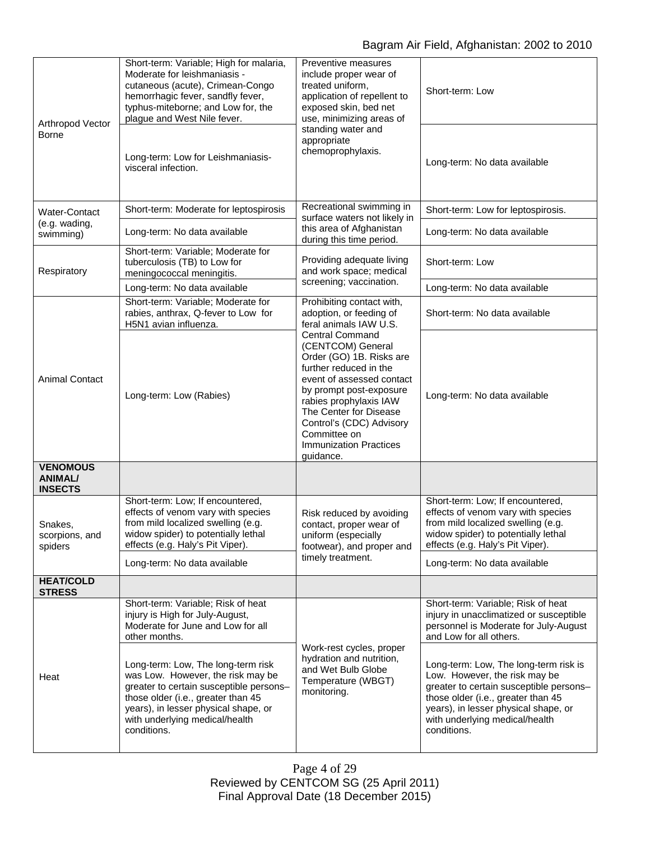| Arthropod Vector<br>Borne                           | Short-term: Variable; High for malaria,<br>Moderate for leishmaniasis -<br>cutaneous (acute), Crimean-Congo<br>hemorrhagic fever, sandfly fever,<br>typhus-miteborne; and Low for, the<br>plague and West Nile fever.                             | Preventive measures<br>include proper wear of<br>treated uniform,<br>application of repellent to<br>exposed skin, bed net<br>use, minimizing areas of                                                                                                                                                   | Short-term: Low                                                                                                                                                                                                                                  |
|-----------------------------------------------------|---------------------------------------------------------------------------------------------------------------------------------------------------------------------------------------------------------------------------------------------------|---------------------------------------------------------------------------------------------------------------------------------------------------------------------------------------------------------------------------------------------------------------------------------------------------------|--------------------------------------------------------------------------------------------------------------------------------------------------------------------------------------------------------------------------------------------------|
|                                                     | Long-term: Low for Leishmaniasis-<br>visceral infection.                                                                                                                                                                                          | standing water and<br>appropriate<br>chemoprophylaxis.                                                                                                                                                                                                                                                  | Long-term: No data available                                                                                                                                                                                                                     |
| <b>Water-Contact</b><br>(e.g. wading,<br>swimming)  | Short-term: Moderate for leptospirosis                                                                                                                                                                                                            | Recreational swimming in<br>surface waters not likely in                                                                                                                                                                                                                                                | Short-term: Low for leptospirosis.                                                                                                                                                                                                               |
|                                                     | Long-term: No data available                                                                                                                                                                                                                      | this area of Afghanistan<br>during this time period.                                                                                                                                                                                                                                                    | Long-term: No data available                                                                                                                                                                                                                     |
| Respiratory                                         | Short-term: Variable; Moderate for<br>tuberculosis (TB) to Low for<br>meningococcal meningitis.                                                                                                                                                   | Providing adequate living<br>and work space; medical                                                                                                                                                                                                                                                    | Short-term: Low                                                                                                                                                                                                                                  |
|                                                     | Long-term: No data available                                                                                                                                                                                                                      | screening; vaccination.                                                                                                                                                                                                                                                                                 | Long-term: No data available                                                                                                                                                                                                                     |
| <b>Animal Contact</b>                               | Short-term: Variable; Moderate for<br>rabies, anthrax, Q-fever to Low for<br>H5N1 avian influenza.                                                                                                                                                | Prohibiting contact with,<br>adoption, or feeding of<br>feral animals IAW U.S.                                                                                                                                                                                                                          | Short-term: No data available                                                                                                                                                                                                                    |
|                                                     | Long-term: Low (Rabies)                                                                                                                                                                                                                           | <b>Central Command</b><br>(CENTCOM) General<br>Order (GO) 1B. Risks are<br>further reduced in the<br>event of assessed contact<br>by prompt post-exposure<br>rabies prophylaxis IAW<br>The Center for Disease<br>Control's (CDC) Advisory<br>Committee on<br><b>Immunization Practices</b><br>guidance. | Long-term: No data available                                                                                                                                                                                                                     |
| <b>VENOMOUS</b><br><b>ANIMAL/</b><br><b>INSECTS</b> |                                                                                                                                                                                                                                                   |                                                                                                                                                                                                                                                                                                         |                                                                                                                                                                                                                                                  |
| Snakes,<br>scorpions, and<br>spiders                | Short-term: Low; If encountered,<br>effects of venom vary with species<br>from mild localized swelling (e.g.<br>widow spider) to potentially lethal<br>effects (e.g. Haly's Pit Viper).                                                           | Risk reduced by avoiding<br>contact, proper wear of<br>uniform (especially<br>footwear), and proper and                                                                                                                                                                                                 | Short-term: Low; If encountered,<br>effects of venom vary with species<br>from mild localized swelling (e.g.<br>widow spider) to potentially lethal<br>effects (e.g. Haly's Pit Viper).                                                          |
|                                                     | Long-term: No data available                                                                                                                                                                                                                      | timely treatment.                                                                                                                                                                                                                                                                                       | Long-term: No data available                                                                                                                                                                                                                     |
| <b>HEAT/COLD</b><br><b>STRESS</b>                   |                                                                                                                                                                                                                                                   |                                                                                                                                                                                                                                                                                                         |                                                                                                                                                                                                                                                  |
| Heat                                                | Short-term: Variable; Risk of heat<br>injury is High for July-August,<br>Moderate for June and Low for all<br>other months.                                                                                                                       |                                                                                                                                                                                                                                                                                                         | Short-term: Variable; Risk of heat<br>injury in unacclimatized or susceptible<br>personnel is Moderate for July-August<br>and Low for all others.                                                                                                |
|                                                     | Long-term: Low, The long-term risk<br>was Low. However, the risk may be<br>greater to certain susceptible persons-<br>those older (i.e., greater than 45<br>years), in lesser physical shape, or<br>with underlying medical/health<br>conditions. | Work-rest cycles, proper<br>hydration and nutrition,<br>and Wet Bulb Globe<br>Temperature (WBGT)<br>monitoring.                                                                                                                                                                                         | Long-term: Low, The long-term risk is<br>Low. However, the risk may be<br>greater to certain susceptible persons-<br>those older (i.e., greater than 45<br>years), in lesser physical shape, or<br>with underlying medical/health<br>conditions. |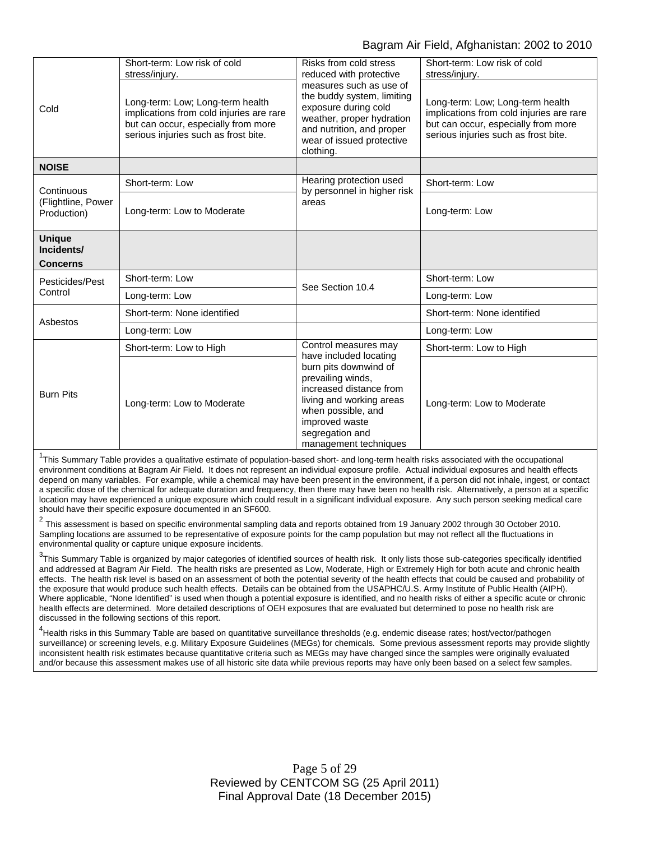#### Bagram Air Field, Afghanistan: 2002 to 2010

| Cold                                            | Short-term: Low risk of cold<br>stress/injury.                                                                                                              | Risks from cold stress<br>reduced with protective                                                                                                                                     | Short-term: Low risk of cold<br>stress/injury.                                                                                                              |
|-------------------------------------------------|-------------------------------------------------------------------------------------------------------------------------------------------------------------|---------------------------------------------------------------------------------------------------------------------------------------------------------------------------------------|-------------------------------------------------------------------------------------------------------------------------------------------------------------|
|                                                 | Long-term: Low; Long-term health<br>implications from cold injuries are rare<br>but can occur, especially from more<br>serious injuries such as frost bite. | measures such as use of<br>the buddy system, limiting<br>exposure during cold<br>weather, proper hydration<br>and nutrition, and proper<br>wear of issued protective<br>clothing.     | Long-term: Low; Long-term health<br>implications from cold injuries are rare<br>but can occur, especially from more<br>serious injuries such as frost bite. |
| <b>NOISE</b>                                    |                                                                                                                                                             |                                                                                                                                                                                       |                                                                                                                                                             |
| Continuous<br>(Flightline, Power<br>Production) | Short-term: Low                                                                                                                                             | Hearing protection used<br>by personnel in higher risk                                                                                                                                | Short-term: Low                                                                                                                                             |
|                                                 | Long-term: Low to Moderate                                                                                                                                  | areas                                                                                                                                                                                 | Long-term: Low                                                                                                                                              |
| <b>Unique</b><br>Incidents/<br><b>Concerns</b>  |                                                                                                                                                             |                                                                                                                                                                                       |                                                                                                                                                             |
| Pesticides/Pest<br>Control                      | Short-term: Low                                                                                                                                             | See Section 10.4                                                                                                                                                                      | Short-term: Low                                                                                                                                             |
|                                                 | Long-term: Low                                                                                                                                              |                                                                                                                                                                                       | Long-term: Low                                                                                                                                              |
| Asbestos                                        | Short-term: None identified                                                                                                                                 |                                                                                                                                                                                       | Short-term: None identified                                                                                                                                 |
|                                                 | Long-term: Low                                                                                                                                              |                                                                                                                                                                                       | Long-term: Low                                                                                                                                              |
| <b>Burn Pits</b>                                | Short-term: Low to High                                                                                                                                     | Control measures may<br>have included locating                                                                                                                                        | Short-term: Low to High                                                                                                                                     |
|                                                 | Long-term: Low to Moderate                                                                                                                                  | burn pits downwind of<br>prevailing winds,<br>increased distance from<br>living and working areas<br>when possible, and<br>improved waste<br>segregation and<br>management techniques | Long-term: Low to Moderate                                                                                                                                  |

<sup>1</sup>This Summary Table provides a qualitative estimate of population-based short- and long-term health risks associated with the occupational environment conditions at Bagram Air Field. It does not represent an individual exposure profile. Actual individual exposures and health effects depend on many variables. For example, while a chemical may have been present in the environment, if a person did not inhale, ingest, or contact a specific dose of the chemical for adequate duration and frequency, then there may have been no health risk. Alternatively, a person at a specific location may have experienced a unique exposure which could result in a significant individual exposure. Any such person seeking medical care should have their specific exposure documented in an SF600.

 $^2$  This assessment is based on specific environmental sampling data and reports obtained from 19 January 2002 through 30 October 2010. Sampling locations are assumed to be representative of exposure points for the camp population but may not reflect all the fluctuations in environmental quality or capture unique exposure incidents.

 $^3$ This Summary Table is organized by major categories of identified sources of health risk. It only lists those sub-categories specifically identified and addressed at Bagram Air Field. The health risks are presented as Low, Moderate, High or Extremely High for both acute and chronic health effects. The health risk level is based on an assessment of both the potential severity of the health effects that could be caused and probability of the exposure that would produce such health effects. Details can be obtained from the USAPHC/U.S. Army Institute of Public Health (AIPH). Where applicable, "None Identified" is used when though a potential exposure is identified, and no health risks of either a specific acute or chronic health effects are determined. More detailed descriptions of OEH exposures that are evaluated but determined to pose no health risk are discussed in the following sections of this report.

4 Health risks in this Summary Table are based on quantitative surveillance thresholds (e.g. endemic disease rates; host/vector/pathogen surveillance) or screening levels, e.g. Military Exposure Guidelines (MEGs) for chemicals*.* Some previous assessment reports may provide slightly inconsistent health risk estimates because quantitative criteria such as MEGs may have changed since the samples were originally evaluated and/or because this assessment makes use of all historic site data while previous reports may have only been based on a select few samples.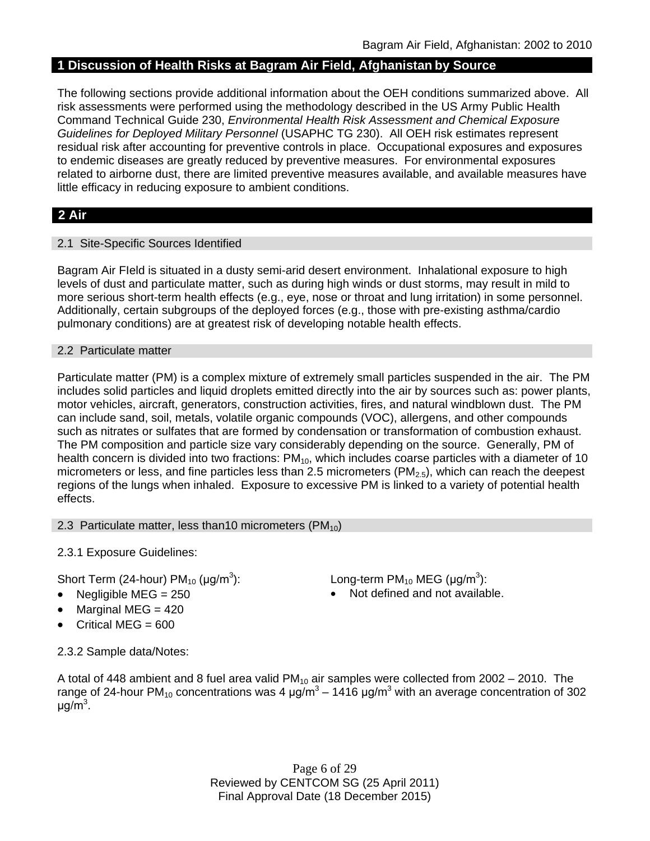# **1 Discussion of Health Risks at Bagram Air Field, Afghanistan by Source**

The following sections provide additional information about the OEH conditions summarized above. All risk assessments were performed using the methodology described in the US Army Public Health Command Technical Guide 230, *Environmental Health Risk Assessment and Chemical Exposure Guidelines for Deployed Military Personnel* (USAPHC TG 230). All OEH risk estimates represent residual risk after accounting for preventive controls in place. Occupational exposures and exposures to endemic diseases are greatly reduced by preventive measures. For environmental exposures related to airborne dust, there are limited preventive measures available, and available measures have little efficacy in reducing exposure to ambient conditions.

# **2 Air**

# 2.1 Site-Specific Sources Identified

Bagram Air FIeld is situated in a dusty semi-arid desert environment. Inhalational exposure to high levels of dust and particulate matter, such as during high winds or dust storms, may result in mild to more serious short-term health effects (e.g., eye, nose or throat and lung irritation) in some personnel. Additionally, certain subgroups of the deployed forces (e.g., those with pre-existing asthma/cardio pulmonary conditions) are at greatest risk of developing notable health effects.

### 2.2 Particulate matter

Particulate matter (PM) is a complex mixture of extremely small particles suspended in the air. The PM includes solid particles and liquid droplets emitted directly into the air by sources such as: power plants, motor vehicles, aircraft, generators, construction activities, fires, and natural windblown dust. The PM can include sand, soil, metals, volatile organic compounds (VOC), allergens, and other compounds such as nitrates or sulfates that are formed by condensation or transformation of combustion exhaust. The PM composition and particle size vary considerably depending on the source. Generally, PM of health concern is divided into two fractions:  $PM_{10}$ , which includes coarse particles with a diameter of 10 micrometers or less, and fine particles less than 2.5 micrometers ( $PM<sub>2.5</sub>$ ), which can reach the deepest regions of the lungs when inhaled. Exposure to excessive PM is linked to a variety of potential health effects.

### 2.3 Particulate matter, less than10 micrometers  $(PM_{10})$

2.3.1 Exposure Guidelines:

Short Term (24-hour)  $PM_{10}$  ( $\mu$ g/m<sup>3</sup>):

- 
- Marginal MEG  $=$  420
- Critical MEG = 600

): Long-term PM<sub>10</sub> MEG (µg/m<sup>3</sup>):

• Negligible MEG = 250 • Not defined and not available.

2.3.2 Sample data/Notes:

A total of 448 ambient and 8 fuel area valid  $PM_{10}$  air samples were collected from 2002 – 2010. The range of 24-hour PM<sub>10</sub> concentrations was 4  $\mu$ g/m<sup>3</sup> – 1416  $\mu$ g/m<sup>3</sup> with an average concentration of 302 μg/m<sup>3</sup>.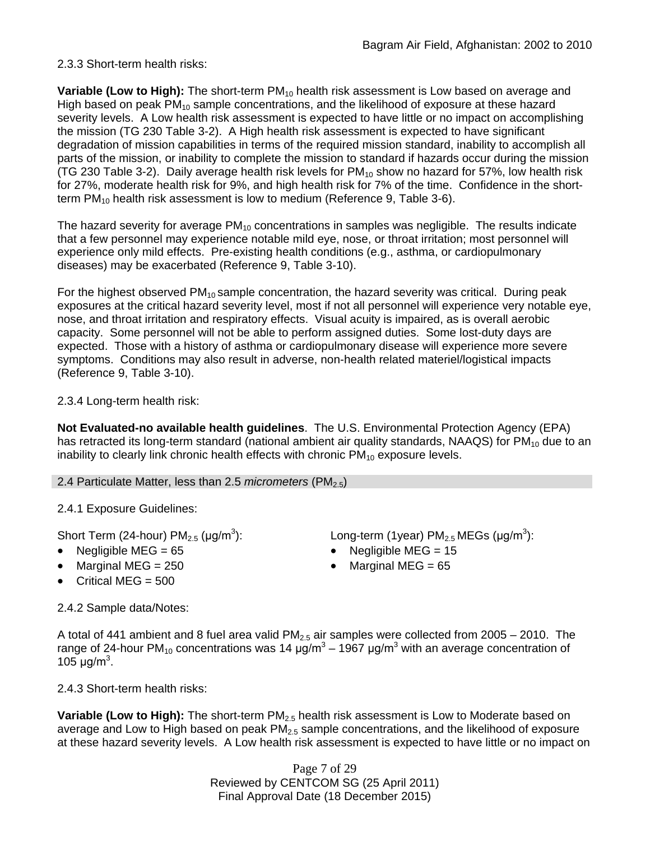2.3.3 Short-term health risks:

**Variable (Low to High):** The short-term PM<sub>10</sub> health risk assessment is Low based on average and High based on peak  $PM_{10}$  sample concentrations, and the likelihood of exposure at these hazard severity levels. A Low health risk assessment is expected to have little or no impact on accomplishing the mission (TG 230 Table 3-2). A High health risk assessment is expected to have significant degradation of mission capabilities in terms of the required mission standard, inability to accomplish all parts of the mission, or inability to complete the mission to standard if hazards occur during the mission (TG 230 Table 3-2). Daily average health risk levels for  $PM_{10}$  show no hazard for 57%, low health risk for 27%, moderate health risk for 9%, and high health risk for 7% of the time. Confidence in the shortterm  $PM_{10}$  health risk assessment is low to medium (Reference 9, Table 3-6).

The hazard severity for average  $PM_{10}$  concentrations in samples was negligible. The results indicate that a few personnel may experience notable mild eye, nose, or throat irritation; most personnel will experience only mild effects. Pre-existing health conditions (e.g., asthma, or cardiopulmonary diseases) may be exacerbated (Reference 9, Table 3-10).

For the highest observed  $PM_{10}$  sample concentration, the hazard severity was critical. During peak exposures at the critical hazard severity level, most if not all personnel will experience very notable eye, nose, and throat irritation and respiratory effects. Visual acuity is impaired, as is overall aerobic capacity. Some personnel will not be able to perform assigned duties. Some lost-duty days are expected. Those with a history of asthma or cardiopulmonary disease will experience more severe symptoms. Conditions may also result in adverse, non-health related materiel/logistical impacts (Reference 9, Table 3-10).

2.3.4 Long-term health risk:

**Not Evaluated-no available health guidelines**. The U.S. Environmental Protection Agency (EPA) has retracted its long-term standard (national ambient air quality standards, NAAQS) for  $PM_{10}$  due to an inability to clearly link chronic health effects with chronic  $PM_{10}$  exposure levels.

2.4 Particulate Matter, less than 2.5 *micrometers* (PM<sub>2.5</sub>)

2.4.1 Exposure Guidelines:

Short Term (24-hour)  $PM<sub>2.5</sub>$  ( $\mu$ g/m<sup>3</sup>):

- 
- Marginal MEG = 250  **Marginal MEG = 65**
- Critical MEG  $= 500$

2.4.2 Sample data/Notes:

):  $\qquad \qquad \text{Long-term (1year) PM}_{2.5} \, \text{MEGs (}\mu\text{g/m}^3\text{)}:$ 

- Negligible MEG = 65 Negligible MEG = 15
	-

A total of 441 ambient and 8 fuel area valid  $PM<sub>2.5</sub>$  air samples were collected from 2005 – 2010. The range of 24-hour PM<sub>10</sub> concentrations was 14  $\mu$ g/m<sup>3</sup> – 1967  $\mu$ g/m<sup>3</sup> with an average concentration of 105  $\mu$ g/m<sup>3</sup>.

2.4.3 Short-term health risks:

**Variable (Low to High):** The short-term PM<sub>2.5</sub> health risk assessment is Low to Moderate based on average and Low to High based on peak PM<sub>2.5</sub> sample concentrations, and the likelihood of exposure at these hazard severity levels. A Low health risk assessment is expected to have little or no impact on

> Page 7 of 29 Reviewed by CENTCOM SG (25 April 2011) Final Approval Date (18 December 2015)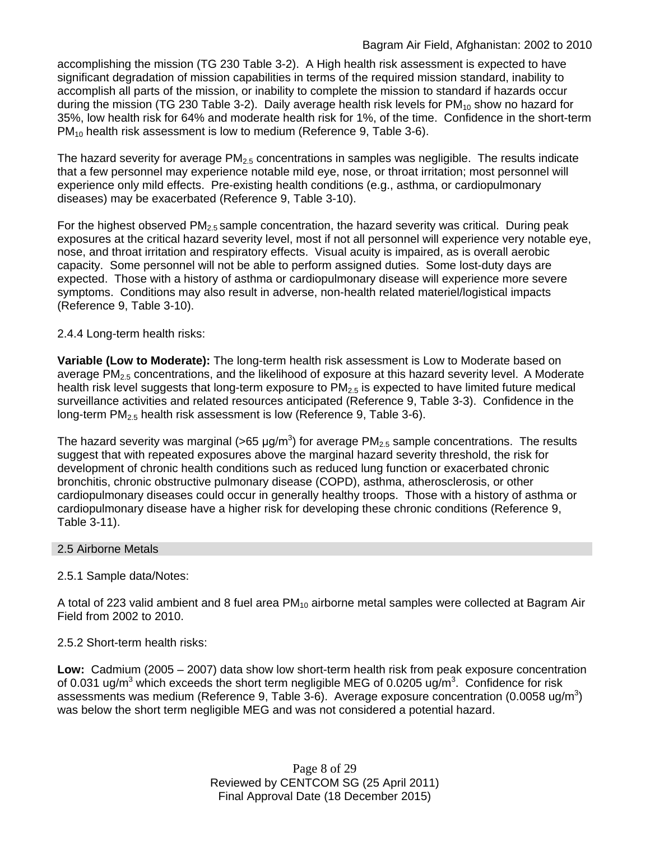accomplishing the mission (TG 230 Table 3-2). A High health risk assessment is expected to have significant degradation of mission capabilities in terms of the required mission standard, inability to accomplish all parts of the mission, or inability to complete the mission to standard if hazards occur during the mission (TG 230 Table 3-2). Daily average health risk levels for  $PM_{10}$  show no hazard for 35%, low health risk for 64% and moderate health risk for 1%, of the time. Confidence in the short-term PM10 health risk assessment is low to medium (Reference 9, Table 3-6).

The hazard severity for average  $PM_{2.5}$  concentrations in samples was negligible. The results indicate that a few personnel may experience notable mild eye, nose, or throat irritation; most personnel will experience only mild effects. Pre-existing health conditions (e.g., asthma, or cardiopulmonary diseases) may be exacerbated (Reference 9, Table 3-10).

For the highest observed  $PM<sub>2.5</sub>$  sample concentration, the hazard severity was critical. During peak exposures at the critical hazard severity level, most if not all personnel will experience very notable eye, nose, and throat irritation and respiratory effects. Visual acuity is impaired, as is overall aerobic capacity. Some personnel will not be able to perform assigned duties. Some lost-duty days are expected. Those with a history of asthma or cardiopulmonary disease will experience more severe symptoms. Conditions may also result in adverse, non-health related materiel/logistical impacts (Reference 9, Table 3-10).

# 2.4.4 Long-term health risks:

**Variable (Low to Moderate):** The long-term health risk assessment is Low to Moderate based on average  $PM<sub>2.5</sub>$  concentrations, and the likelihood of exposure at this hazard severity level. A Moderate health risk level suggests that long-term exposure to  $PM_{2.5}$  is expected to have limited future medical surveillance activities and related resources anticipated (Reference 9, Table 3-3). Confidence in the long-term PM<sub>2.5</sub> health risk assessment is low (Reference 9, Table 3-6).

The hazard severity was marginal (>65  $\mu$ g/m<sup>3</sup>) for average PM<sub>2.5</sub> sample concentrations. The results suggest that with repeated exposures above the marginal hazard severity threshold, the risk for development of chronic health conditions such as reduced lung function or exacerbated chronic bronchitis, chronic obstructive pulmonary disease (COPD), asthma, atherosclerosis, or other cardiopulmonary diseases could occur in generally healthy troops. Those with a history of asthma or cardiopulmonary disease have a higher risk for developing these chronic conditions (Reference 9, Table 3-11).

# 2.5 Airborne Metals

# 2.5.1 Sample data/Notes:

A total of 223 valid ambient and 8 fuel area  $PM_{10}$  airborne metal samples were collected at Bagram Air Field from 2002 to 2010.

2.5.2 Short-term health risks:

**Low:** Cadmium (2005 – 2007) data show low short-term health risk from peak exposure concentration of 0.031 ug/m $^3$  which exceeds the short term negligible MEG of 0.0205 ug/m $^3$ . Confidence for risk assessments was medium (Reference 9, Table 3-6). Average exposure concentration (0.0058 ug/m<sup>3</sup>) was below the short term negligible MEG and was not considered a potential hazard.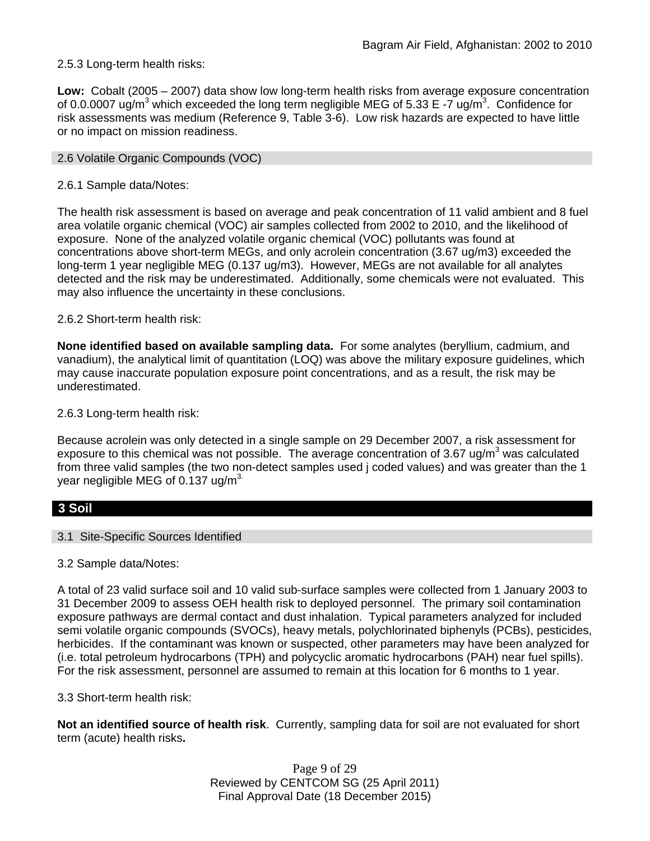# 2.5.3 Long-term health risks:

**Low:** Cobalt (2005 – 2007) data show low long-term health risks from average exposure concentration of 0.0.0007 ug/m<sup>3</sup> which exceeded the long term negligible MEG of 5.33 E -7 ug/m<sup>3</sup>. Confidence for risk assessments was medium (Reference 9, Table 3-6). Low risk hazards are expected to have little or no impact on mission readiness.

# 2.6 Volatile Organic Compounds (VOC)

### 2.6.1 Sample data/Notes:

The health risk assessment is based on average and peak concentration of 11 valid ambient and 8 fuel area volatile organic chemical (VOC) air samples collected from 2002 to 2010, and the likelihood of exposure. None of the analyzed volatile organic chemical (VOC) pollutants was found at concentrations above short-term MEGs, and only acrolein concentration (3.67 ug/m3) exceeded the long-term 1 year negligible MEG (0.137 ug/m3). However, MEGs are not available for all analytes detected and the risk may be underestimated. Additionally, some chemicals were not evaluated. This may also influence the uncertainty in these conclusions.

### 2.6.2 Short-term health risk:

**None identified based on available sampling data.** For some analytes (beryllium, cadmium, and vanadium), the analytical limit of quantitation (LOQ) was above the military exposure guidelines, which may cause inaccurate population exposure point concentrations, and as a result, the risk may be underestimated.

2.6.3 Long-term health risk:

Because acrolein was only detected in a single sample on 29 December 2007, a risk assessment for exposure to this chemical was not possible. The average concentration of 3.67 ug/ $m<sup>3</sup>$  was calculated from three valid samples (the two non-detect samples used j coded values) and was greater than the 1 year negligible MEG of 0.137 ug/ $m<sup>3</sup>$ .

# **3 Soil**

# 3.1 Site-Specific Sources Identified

# 3.2 Sample data/Notes:

A total of 23 valid surface soil and 10 valid sub-surface samples were collected from 1 January 2003 to 31 December 2009 to assess OEH health risk to deployed personnel. The primary soil contamination exposure pathways are dermal contact and dust inhalation. Typical parameters analyzed for included semi volatile organic compounds (SVOCs), heavy metals, polychlorinated biphenyls (PCBs), pesticides, herbicides. If the contaminant was known or suspected, other parameters may have been analyzed for (i.e. total petroleum hydrocarbons (TPH) and polycyclic aromatic hydrocarbons (PAH) near fuel spills). For the risk assessment, personnel are assumed to remain at this location for 6 months to 1 year.

3.3 Short-term health risk:

**Not an identified source of health risk**. Currently, sampling data for soil are not evaluated for short term (acute) health risks**.**

> Page 9 of 29 Reviewed by CENTCOM SG (25 April 2011) Final Approval Date (18 December 2015)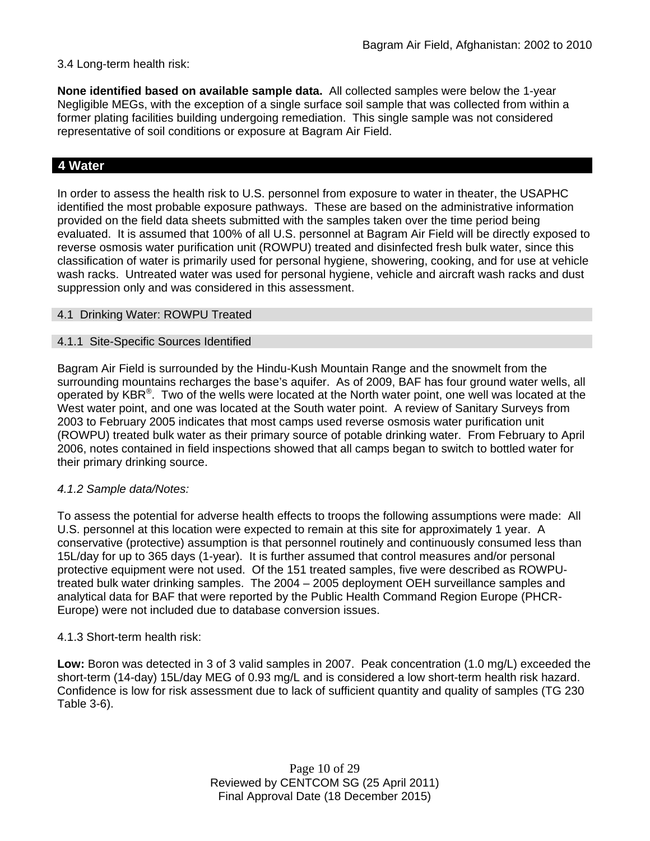# 3.4 Long-term health risk:

**None identified based on available sample data.** All collected samples were below the 1-year Negligible MEGs, with the exception of a single surface soil sample that was collected from within a former plating facilities building undergoing remediation. This single sample was not considered representative of soil conditions or exposure at Bagram Air Field.

# **4 Water**

In order to assess the health risk to U.S. personnel from exposure to water in theater, the USAPHC identified the most probable exposure pathways. These are based on the administrative information provided on the field data sheets submitted with the samples taken over the time period being evaluated. It is assumed that 100% of all U.S. personnel at Bagram Air Field will be directly exposed to reverse osmosis water purification unit (ROWPU) treated and disinfected fresh bulk water, since this classification of water is primarily used for personal hygiene, showering, cooking, and for use at vehicle wash racks. Untreated water was used for personal hygiene, vehicle and aircraft wash racks and dust suppression only and was considered in this assessment.

### 4.1 Drinking Water: ROWPU Treated

### 4.1.1 Site-Specific Sources Identified

Bagram Air Field is surrounded by the Hindu-Kush Mountain Range and the snowmelt from the surrounding mountains recharges the base's aquifer. As of 2009, BAF has four ground water wells, all operated by KBR®. Two of the wells were located at the North water point, one well was located at the West water point, and one was located at the South water point. A review of Sanitary Surveys from 2003 to February 2005 indicates that most camps used reverse osmosis water purification unit (ROWPU) treated bulk water as their primary source of potable drinking water. From February to April 2006, notes contained in field inspections showed that all camps began to switch to bottled water for their primary drinking source.

# *4.1.2 Sample data/Notes:*

To assess the potential for adverse health effects to troops the following assumptions were made: All U.S. personnel at this location were expected to remain at this site for approximately 1 year. A conservative (protective) assumption is that personnel routinely and continuously consumed less than 15L/day for up to 365 days (1-year). It is further assumed that control measures and/or personal protective equipment were not used. Of the 151 treated samples, five were described as ROWPUtreated bulk water drinking samples. The 2004 – 2005 deployment OEH surveillance samples and analytical data for BAF that were reported by the Public Health Command Region Europe (PHCR-Europe) were not included due to database conversion issues.

# 4.1.3 Short-term health risk:

**Low:** Boron was detected in 3 of 3 valid samples in 2007. Peak concentration (1.0 mg/L) exceeded the short-term (14-day) 15L/day MEG of 0.93 mg/L and is considered a low short-term health risk hazard. Confidence is low for risk assessment due to lack of sufficient quantity and quality of samples (TG 230 Table 3-6).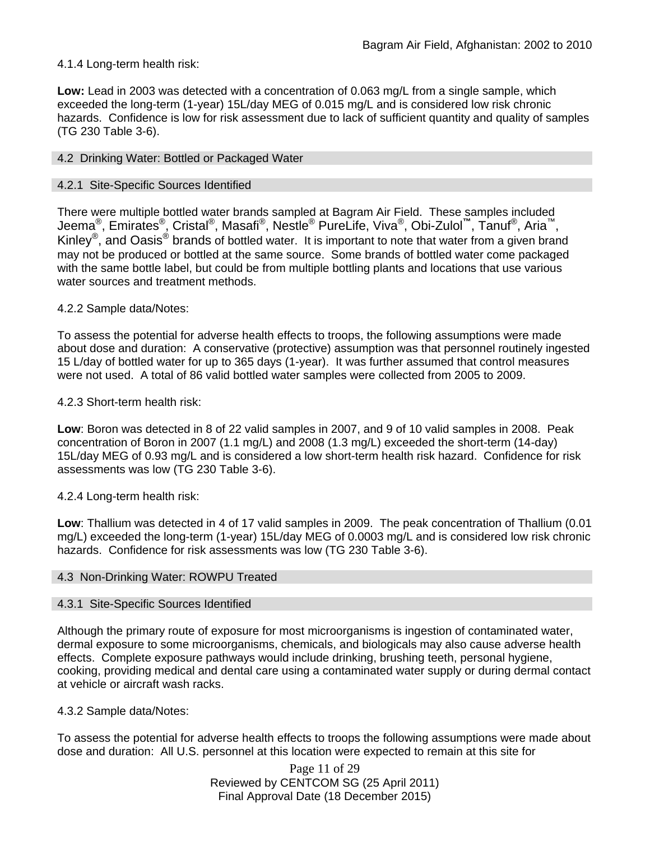# 4.1.4 Long-term health risk:

**Low:** Lead in 2003 was detected with a concentration of 0.063 mg/L from a single sample, which exceeded the long-term (1-year) 15L/day MEG of 0.015 mg/L and is considered low risk chronic hazards. Confidence is low for risk assessment due to lack of sufficient quantity and quality of samples (TG 230 Table 3-6).

# 4.2 Drinking Water: Bottled or Packaged Water

### 4.2.1 Site-Specific Sources Identified

There were multiple bottled water brands sampled at Bagram Air Field. These samples included Jeema®, Emirates®, Cristal®, Masafi®, Nestle® PureLife, Viva®, Obi-Zulol **™**, Tanuf®, Aria™, Kinley<sup>®</sup>, and Oasis<sup>®</sup> brands of bottled water. It is important to note that water from a given brand may not be produced or bottled at the same source. Some brands of bottled water come packaged with the same bottle label, but could be from multiple bottling plants and locations that use various water sources and treatment methods.

# 4.2.2 Sample data/Notes:

To assess the potential for adverse health effects to troops, the following assumptions were made about dose and duration: A conservative (protective) assumption was that personnel routinely ingested 15 L/day of bottled water for up to 365 days (1-year). It was further assumed that control measures were not used. A total of 86 valid bottled water samples were collected from 2005 to 2009.

4.2.3 Short-term health risk:

**Low**: Boron was detected in 8 of 22 valid samples in 2007, and 9 of 10 valid samples in 2008. Peak concentration of Boron in 2007 (1.1 mg/L) and 2008 (1.3 mg/L) exceeded the short-term (14-day) 15L/day MEG of 0.93 mg/L and is considered a low short-term health risk hazard. Confidence for risk assessments was low (TG 230 Table 3-6).

4.2.4 Long-term health risk:

**Low**: Thallium was detected in 4 of 17 valid samples in 2009. The peak concentration of Thallium (0.01 mg/L) exceeded the long-term (1-year) 15L/day MEG of 0.0003 mg/L and is considered low risk chronic hazards. Confidence for risk assessments was low (TG 230 Table 3-6).

# 4.3 Non-Drinking Water: ROWPU Treated

### 4.3.1 Site-Specific Sources Identified

Although the primary route of exposure for most microorganisms is ingestion of contaminated water, dermal exposure to some microorganisms, chemicals, and biologicals may also cause adverse health effects. Complete exposure pathways would include drinking, brushing teeth, personal hygiene, cooking, providing medical and dental care using a contaminated water supply or during dermal contact at vehicle or aircraft wash racks.

# 4.3.2 Sample data/Notes:

To assess the potential for adverse health effects to troops the following assumptions were made about dose and duration: All U.S. personnel at this location were expected to remain at this site for

> Page 11 of 29 Reviewed by CENTCOM SG (25 April 2011) Final Approval Date (18 December 2015)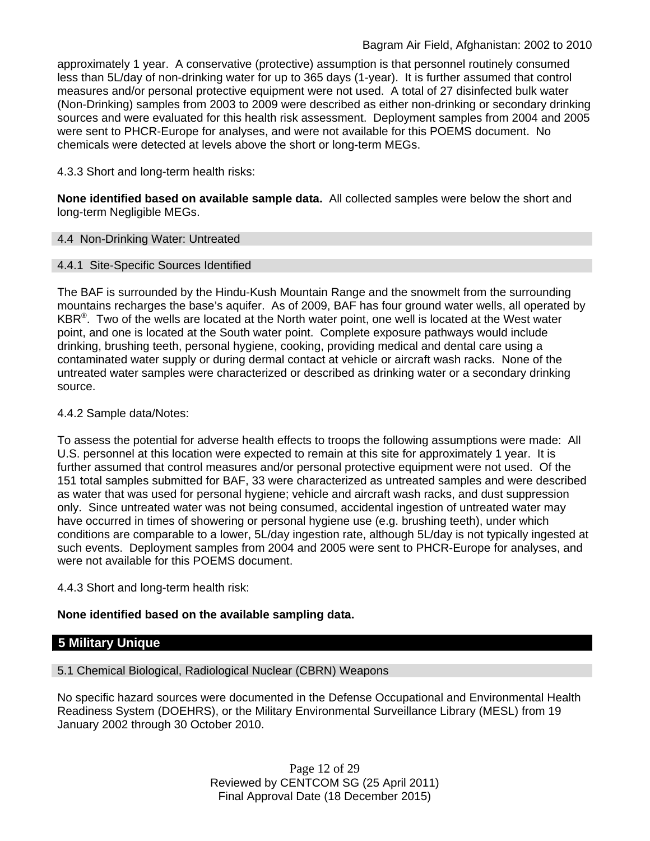approximately 1 year. A conservative (protective) assumption is that personnel routinely consumed less than 5L/day of non-drinking water for up to 365 days (1-year). It is further assumed that control measures and/or personal protective equipment were not used. A total of 27 disinfected bulk water (Non-Drinking) samples from 2003 to 2009 were described as either non-drinking or secondary drinking sources and were evaluated for this health risk assessment. Deployment samples from 2004 and 2005 were sent to PHCR-Europe for analyses, and were not available for this POEMS document. No chemicals were detected at levels above the short or long-term MEGs.

4.3.3 Short and long-term health risks:

**None identified based on available sample data.** All collected samples were below the short and long-term Negligible MEGs.

# 4.4 Non-Drinking Water: Untreated

# 4.4.1 Site-Specific Sources Identified

The BAF is surrounded by the Hindu-Kush Mountain Range and the snowmelt from the surrounding mountains recharges the base's aquifer. As of 2009, BAF has four ground water wells, all operated by KBR®. Two of the wells are located at the North water point, one well is located at the West water point, and one is located at the South water point. Complete exposure pathways would include drinking, brushing teeth, personal hygiene, cooking, providing medical and dental care using a contaminated water supply or during dermal contact at vehicle or aircraft wash racks. None of the untreated water samples were characterized or described as drinking water or a secondary drinking source.

# 4.4.2 Sample data/Notes:

To assess the potential for adverse health effects to troops the following assumptions were made: All U.S. personnel at this location were expected to remain at this site for approximately 1 year. It is further assumed that control measures and/or personal protective equipment were not used. Of the 151 total samples submitted for BAF, 33 were characterized as untreated samples and were described as water that was used for personal hygiene; vehicle and aircraft wash racks, and dust suppression only. Since untreated water was not being consumed, accidental ingestion of untreated water may have occurred in times of showering or personal hygiene use (e.g. brushing teeth), under which conditions are comparable to a lower, 5L/day ingestion rate, although 5L/day is not typically ingested at such events. Deployment samples from 2004 and 2005 were sent to PHCR-Europe for analyses, and were not available for this POEMS document.

4.4.3 Short and long-term health risk:

# **None identified based on the available sampling data.**

# **5 Military Unique**

5.1 Chemical Biological, Radiological Nuclear (CBRN) Weapons

No specific hazard sources were documented in the Defense Occupational and Environmental Health Readiness System (DOEHRS), or the Military Environmental Surveillance Library (MESL) from 19 January 2002 through 30 October 2010.

> Page 12 of 29 Reviewed by CENTCOM SG (25 April 2011) Final Approval Date (18 December 2015)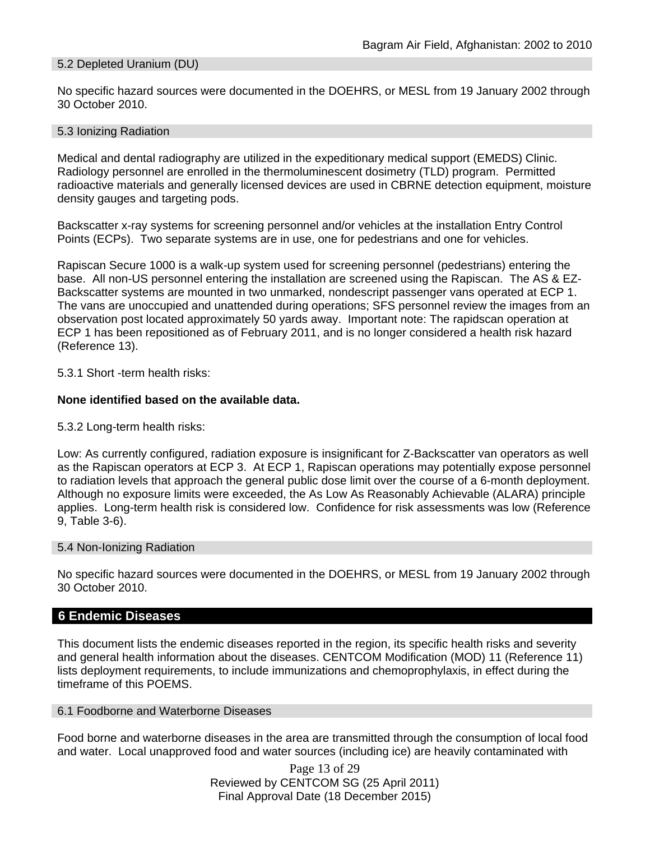### 5.2 Depleted Uranium (DU)

No specific hazard sources were documented in the DOEHRS, or MESL from 19 January 2002 through 30 October 2010.

#### 5.3 Ionizing Radiation

Medical and dental radiography are utilized in the expeditionary medical support (EMEDS) Clinic. Radiology personnel are enrolled in the thermoluminescent dosimetry (TLD) program. Permitted radioactive materials and generally licensed devices are used in CBRNE detection equipment, moisture density gauges and targeting pods.

Backscatter x-ray systems for screening personnel and/or vehicles at the installation Entry Control Points (ECPs). Two separate systems are in use, one for pedestrians and one for vehicles.

Rapiscan Secure 1000 is a walk-up system used for screening personnel (pedestrians) entering the base. All non-US personnel entering the installation are screened using the Rapiscan. The AS & EZ-Backscatter systems are mounted in two unmarked, nondescript passenger vans operated at ECP 1. The vans are unoccupied and unattended during operations; SFS personnel review the images from an observation post located approximately 50 yards away. Important note: The rapidscan operation at ECP 1 has been repositioned as of February 2011, and is no longer considered a health risk hazard (Reference 13).

5.3.1 Short -term health risks:

### **None identified based on the available data.**

### 5.3.2 Long-term health risks:

Low: As currently configured, radiation exposure is insignificant for Z-Backscatter van operators as well as the Rapiscan operators at ECP 3. At ECP 1, Rapiscan operations may potentially expose personnel to radiation levels that approach the general public dose limit over the course of a 6-month deployment. Although no exposure limits were exceeded, the As Low As Reasonably Achievable (ALARA) principle applies. Long-term health risk is considered low. Confidence for risk assessments was low (Reference 9, Table 3-6).

#### 5.4 Non-Ionizing Radiation

No specific hazard sources were documented in the DOEHRS, or MESL from 19 January 2002 through 30 October 2010.

### **6 Endemic Diseases**

This document lists the endemic diseases reported in the region, its specific health risks and severity and general health information about the diseases. CENTCOM Modification (MOD) 11 (Reference 11) lists deployment requirements, to include immunizations and chemoprophylaxis, in effect during the timeframe of this POEMS.

#### 6.1 Foodborne and Waterborne Diseases

Food borne and waterborne diseases in the area are transmitted through the consumption of local food and water. Local unapproved food and water sources (including ice) are heavily contaminated with

> Page 13 of 29 Reviewed by CENTCOM SG (25 April 2011) Final Approval Date (18 December 2015)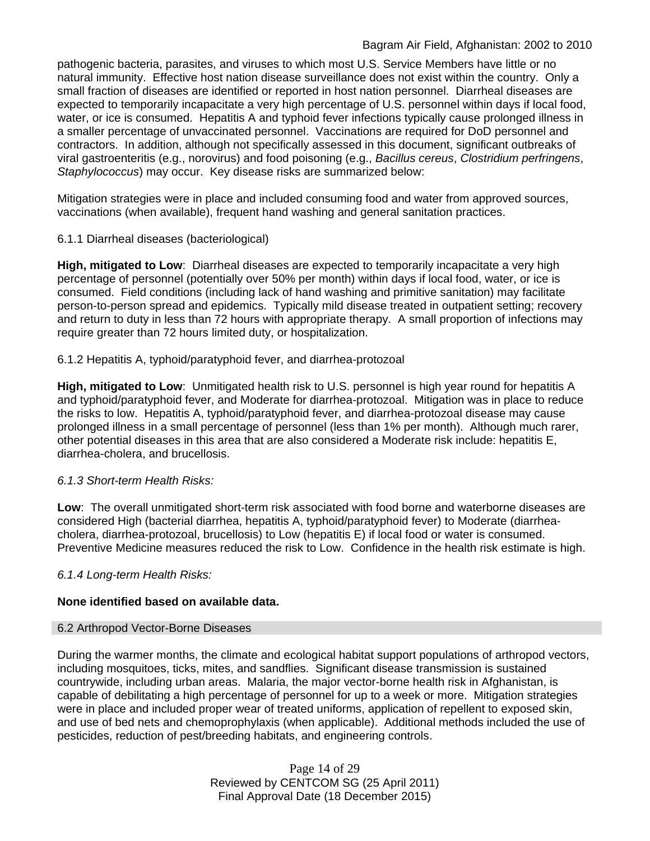pathogenic bacteria, parasites, and viruses to which most U.S. Service Members have little or no natural immunity. Effective host nation disease surveillance does not exist within the country. Only a small fraction of diseases are identified or reported in host nation personnel. Diarrheal diseases are expected to temporarily incapacitate a very high percentage of U.S. personnel within days if local food, water, or ice is consumed. Hepatitis A and typhoid fever infections typically cause prolonged illness in a smaller percentage of unvaccinated personnel. Vaccinations are required for DoD personnel and contractors. In addition, although not specifically assessed in this document, significant outbreaks of viral gastroenteritis (e.g., norovirus) and food poisoning (e.g., *Bacillus cereus*, *Clostridium perfringens*, *Staphylococcus*) may occur. Key disease risks are summarized below:

Mitigation strategies were in place and included consuming food and water from approved sources, vaccinations (when available), frequent hand washing and general sanitation practices.

# 6.1.1 Diarrheal diseases (bacteriological)

**High, mitigated to Low**: Diarrheal diseases are expected to temporarily incapacitate a very high percentage of personnel (potentially over 50% per month) within days if local food, water, or ice is consumed. Field conditions (including lack of hand washing and primitive sanitation) may facilitate person-to-person spread and epidemics. Typically mild disease treated in outpatient setting; recovery and return to duty in less than 72 hours with appropriate therapy. A small proportion of infections may require greater than 72 hours limited duty, or hospitalization.

# 6.1.2 Hepatitis A, typhoid/paratyphoid fever, and diarrhea-protozoal

**High, mitigated to Low**: Unmitigated health risk to U.S. personnel is high year round for hepatitis A and typhoid/paratyphoid fever, and Moderate for diarrhea-protozoal. Mitigation was in place to reduce the risks to low. Hepatitis A, typhoid/paratyphoid fever, and diarrhea-protozoal disease may cause prolonged illness in a small percentage of personnel (less than 1% per month). Although much rarer, other potential diseases in this area that are also considered a Moderate risk include: hepatitis E, diarrhea-cholera, and brucellosis.

# *6.1.3 Short-term Health Risks:*

**Low**: The overall unmitigated short-term risk associated with food borne and waterborne diseases are considered High (bacterial diarrhea, hepatitis A, typhoid/paratyphoid fever) to Moderate (diarrheacholera, diarrhea-protozoal, brucellosis) to Low (hepatitis E) if local food or water is consumed. Preventive Medicine measures reduced the risk to Low. Confidence in the health risk estimate is high.

# *6.1.4 Long-term Health Risks:*

# **None identified based on available data.**

# 6.2 Arthropod Vector-Borne Diseases

During the warmer months, the climate and ecological habitat support populations of arthropod vectors, including mosquitoes, ticks, mites, and sandflies. Significant disease transmission is sustained countrywide, including urban areas. Malaria, the major vector-borne health risk in Afghanistan, is capable of debilitating a high percentage of personnel for up to a week or more. Mitigation strategies were in place and included proper wear of treated uniforms, application of repellent to exposed skin, and use of bed nets and chemoprophylaxis (when applicable). Additional methods included the use of pesticides, reduction of pest/breeding habitats, and engineering controls.

> Page 14 of 29 Reviewed by CENTCOM SG (25 April 2011) Final Approval Date (18 December 2015)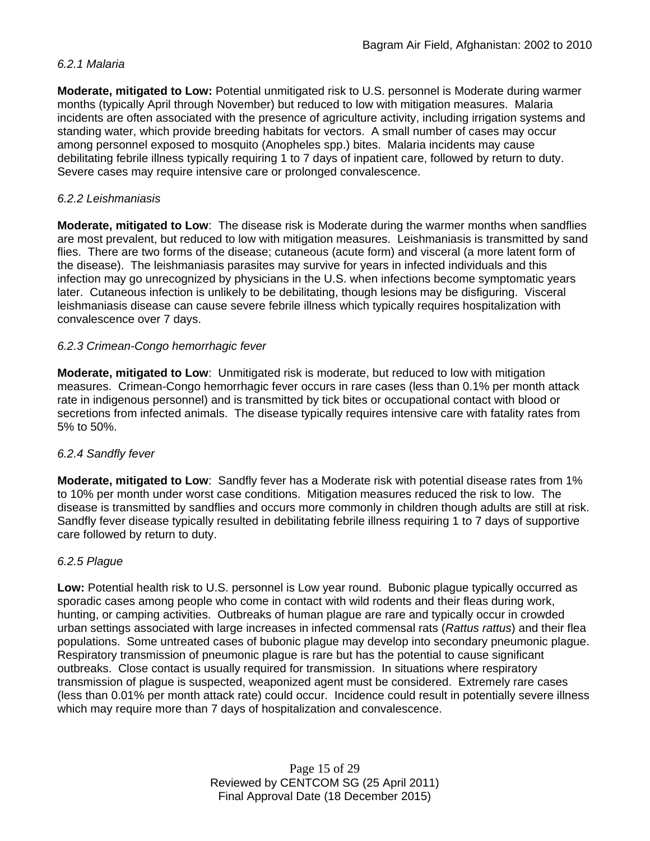# *6.2.1 Malaria*

**Moderate, mitigated to Low:** Potential unmitigated risk to U.S. personnel is Moderate during warmer months (typically April through November) but reduced to low with mitigation measures. Malaria incidents are often associated with the presence of agriculture activity, including irrigation systems and standing water, which provide breeding habitats for vectors. A small number of cases may occur among personnel exposed to mosquito (Anopheles spp.) bites. Malaria incidents may cause debilitating febrile illness typically requiring 1 to 7 days of inpatient care, followed by return to duty. Severe cases may require intensive care or prolonged convalescence.

# *6.2.2 Leishmaniasis*

**Moderate, mitigated to Low**: The disease risk is Moderate during the warmer months when sandflies are most prevalent, but reduced to low with mitigation measures. Leishmaniasis is transmitted by sand flies. There are two forms of the disease; cutaneous (acute form) and visceral (a more latent form of the disease). The leishmaniasis parasites may survive for years in infected individuals and this infection may go unrecognized by physicians in the U.S. when infections become symptomatic years later. Cutaneous infection is unlikely to be debilitating, though lesions may be disfiguring. Visceral leishmaniasis disease can cause severe febrile illness which typically requires hospitalization with convalescence over 7 days.

# *6.2.3 Crimean-Congo hemorrhagic fever*

**Moderate, mitigated to Low**: Unmitigated risk is moderate, but reduced to low with mitigation measures. Crimean-Congo hemorrhagic fever occurs in rare cases (less than 0.1% per month attack rate in indigenous personnel) and is transmitted by tick bites or occupational contact with blood or secretions from infected animals. The disease typically requires intensive care with fatality rates from 5% to 50%.

# *6.2.4 Sandfly fever*

**Moderate, mitigated to Low**: Sandfly fever has a Moderate risk with potential disease rates from 1% to 10% per month under worst case conditions. Mitigation measures reduced the risk to low. The disease is transmitted by sandflies and occurs more commonly in children though adults are still at risk. Sandfly fever disease typically resulted in debilitating febrile illness requiring 1 to 7 days of supportive care followed by return to duty.

# *6.2.5 Plague*

**Low:** Potential health risk to U.S. personnel is Low year round. Bubonic plague typically occurred as sporadic cases among people who come in contact with wild rodents and their fleas during work, hunting, or camping activities. Outbreaks of human plague are rare and typically occur in crowded urban settings associated with large increases in infected commensal rats (*Rattus rattus*) and their flea populations. Some untreated cases of bubonic plague may develop into secondary pneumonic plague. Respiratory transmission of pneumonic plague is rare but has the potential to cause significant outbreaks. Close contact is usually required for transmission. In situations where respiratory transmission of plague is suspected, weaponized agent must be considered. Extremely rare cases (less than 0.01% per month attack rate) could occur. Incidence could result in potentially severe illness which may require more than 7 days of hospitalization and convalescence.

> Page 15 of 29 Reviewed by CENTCOM SG (25 April 2011) Final Approval Date (18 December 2015)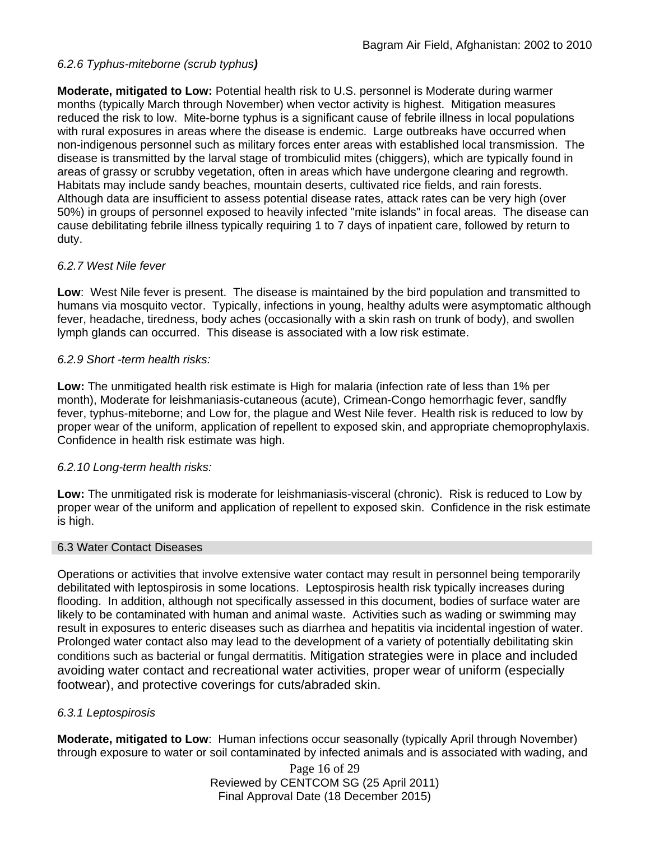# *6.2.6 Typhus-miteborne (scrub typhus)*

**Moderate, mitigated to Low:** Potential health risk to U.S. personnel is Moderate during warmer months (typically March through November) when vector activity is highest. Mitigation measures reduced the risk to low. Mite-borne typhus is a significant cause of febrile illness in local populations with rural exposures in areas where the disease is endemic. Large outbreaks have occurred when non-indigenous personnel such as military forces enter areas with established local transmission. The disease is transmitted by the larval stage of trombiculid mites (chiggers), which are typically found in areas of grassy or scrubby vegetation, often in areas which have undergone clearing and regrowth. Habitats may include sandy beaches, mountain deserts, cultivated rice fields, and rain forests. Although data are insufficient to assess potential disease rates, attack rates can be very high (over 50%) in groups of personnel exposed to heavily infected "mite islands" in focal areas. The disease can cause debilitating febrile illness typically requiring 1 to 7 days of inpatient care, followed by return to duty.

# *6.2.7 West Nile fever*

**Low**: West Nile fever is present. The disease is maintained by the bird population and transmitted to humans via mosquito vector. Typically, infections in young, healthy adults were asymptomatic although fever, headache, tiredness, body aches (occasionally with a skin rash on trunk of body), and swollen lymph glands can occurred. This disease is associated with a low risk estimate.

# *6.2.9 Short -term health risks:*

**Low:** The unmitigated health risk estimate is High for malaria (infection rate of less than 1% per month), Moderate for leishmaniasis-cutaneous (acute), Crimean-Congo hemorrhagic fever, sandfly fever, typhus-miteborne; and Low for, the plague and West Nile fever. Health risk is reduced to low by proper wear of the uniform, application of repellent to exposed skin, and appropriate chemoprophylaxis. Confidence in health risk estimate was high.

# *6.2.10 Long-term health risks:*

**Low:** The unmitigated risk is moderate for leishmaniasis-visceral (chronic). Risk is reduced to Low by proper wear of the uniform and application of repellent to exposed skin. Confidence in the risk estimate is high.

# 6.3 Water Contact Diseases

Operations or activities that involve extensive water contact may result in personnel being temporarily debilitated with leptospirosis in some locations. Leptospirosis health risk typically increases during flooding. In addition, although not specifically assessed in this document, bodies of surface water are likely to be contaminated with human and animal waste. Activities such as wading or swimming may result in exposures to enteric diseases such as diarrhea and hepatitis via incidental ingestion of water. Prolonged water contact also may lead to the development of a variety of potentially debilitating skin conditions such as bacterial or fungal dermatitis. Mitigation strategies were in place and included avoiding water contact and recreational water activities, proper wear of uniform (especially footwear), and protective coverings for cuts/abraded skin.

# *6.3.1 Leptospirosis*

**Moderate, mitigated to Low**: Human infections occur seasonally (typically April through November) through exposure to water or soil contaminated by infected animals and is associated with wading, and

> Page 16 of 29 Reviewed by CENTCOM SG (25 April 2011) Final Approval Date (18 December 2015)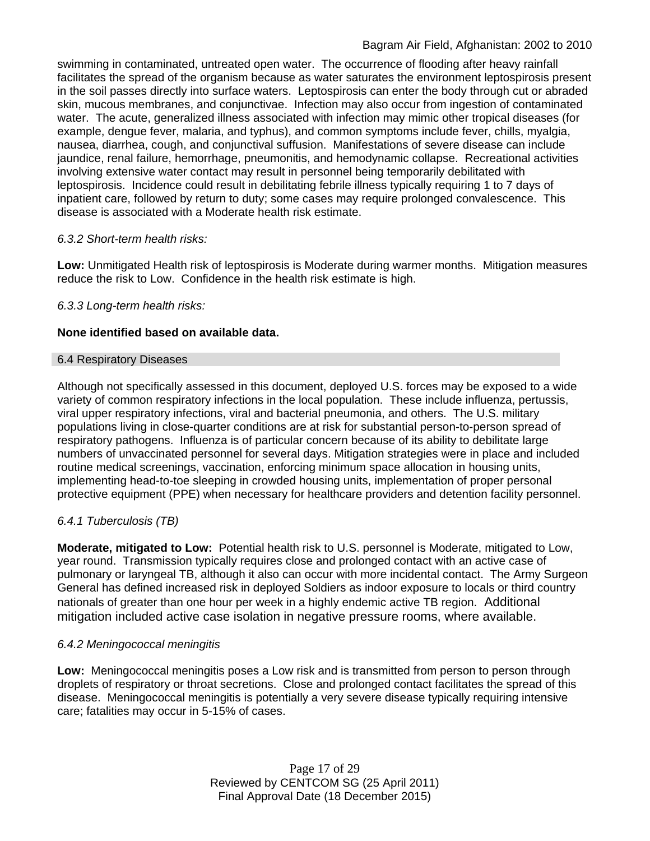swimming in contaminated, untreated open water. The occurrence of flooding after heavy rainfall facilitates the spread of the organism because as water saturates the environment leptospirosis present in the soil passes directly into surface waters. Leptospirosis can enter the body through cut or abraded skin, mucous membranes, and conjunctivae. Infection may also occur from ingestion of contaminated water. The acute, generalized illness associated with infection may mimic other tropical diseases (for example, dengue fever, malaria, and typhus), and common symptoms include fever, chills, myalgia, nausea, diarrhea, cough, and conjunctival suffusion. Manifestations of severe disease can include jaundice, renal failure, hemorrhage, pneumonitis, and hemodynamic collapse. Recreational activities involving extensive water contact may result in personnel being temporarily debilitated with leptospirosis. Incidence could result in debilitating febrile illness typically requiring 1 to 7 days of inpatient care, followed by return to duty; some cases may require prolonged convalescence. This disease is associated with a Moderate health risk estimate.

# *6.3.2 Short-term health risks:*

**Low:** Unmitigated Health risk of leptospirosis is Moderate during warmer months. Mitigation measures reduce the risk to Low. Confidence in the health risk estimate is high.

# *6.3.3 Long-term health risks:*

# **None identified based on available data.**

### 6.4 Respiratory Diseases

Although not specifically assessed in this document, deployed U.S. forces may be exposed to a wide variety of common respiratory infections in the local population. These include influenza, pertussis, viral upper respiratory infections, viral and bacterial pneumonia, and others. The U.S. military populations living in close-quarter conditions are at risk for substantial person-to-person spread of respiratory pathogens. Influenza is of particular concern because of its ability to debilitate large numbers of unvaccinated personnel for several days. Mitigation strategies were in place and included routine medical screenings, vaccination, enforcing minimum space allocation in housing units, implementing head-to-toe sleeping in crowded housing units, implementation of proper personal protective equipment (PPE) when necessary for healthcare providers and detention facility personnel.

# *6.4.1 Tuberculosis (TB)*

**Moderate, mitigated to Low:** Potential health risk to U.S. personnel is Moderate, mitigated to Low, year round. Transmission typically requires close and prolonged contact with an active case of pulmonary or laryngeal TB, although it also can occur with more incidental contact. The Army Surgeon General has defined increased risk in deployed Soldiers as indoor exposure to locals or third country nationals of greater than one hour per week in a highly endemic active TB region. Additional mitigation included active case isolation in negative pressure rooms, where available.

# *6.4.2 Meningococcal meningitis*

**Low:** Meningococcal meningitis poses a Low risk and is transmitted from person to person through droplets of respiratory or throat secretions. Close and prolonged contact facilitates the spread of this disease. Meningococcal meningitis is potentially a very severe disease typically requiring intensive care; fatalities may occur in 5-15% of cases.

> Page 17 of 29 Reviewed by CENTCOM SG (25 April 2011) Final Approval Date (18 December 2015)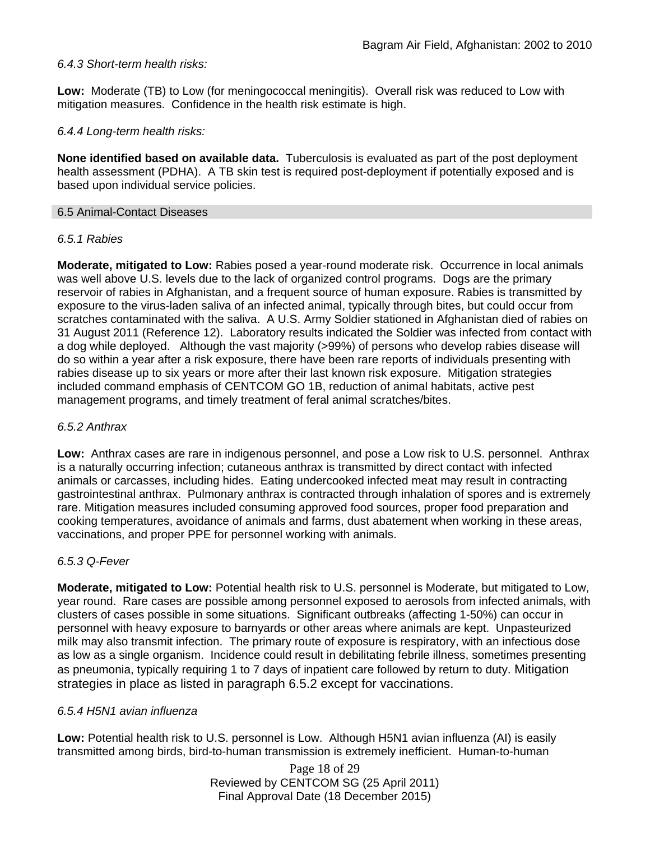# *6.4.3 Short-term health risks:*

**Low:** Moderate (TB) to Low (for meningococcal meningitis). Overall risk was reduced to Low with mitigation measures. Confidence in the health risk estimate is high.

### *6.4.4 Long-term health risks:*

**None identified based on available data.** Tuberculosis is evaluated as part of the post deployment health assessment (PDHA). A TB skin test is required post-deployment if potentially exposed and is based upon individual service policies.

#### 6.5 Animal-Contact Diseases

### *6.5.1 Rabies*

**Moderate, mitigated to Low:** Rabies posed a year-round moderate risk. Occurrence in local animals was well above U.S. levels due to the lack of organized control programs. Dogs are the primary reservoir of rabies in Afghanistan, and a frequent source of human exposure. Rabies is transmitted by exposure to the virus-laden saliva of an infected animal, typically through bites, but could occur from scratches contaminated with the saliva. A U.S. Army Soldier stationed in Afghanistan died of rabies on 31 August 2011 (Reference 12). Laboratory results indicated the Soldier was infected from contact with a dog while deployed. Although the vast majority (>99%) of persons who develop rabies disease will do so within a year after a risk exposure, there have been rare reports of individuals presenting with rabies disease up to six years or more after their last known risk exposure. Mitigation strategies included command emphasis of CENTCOM GO 1B, reduction of animal habitats, active pest management programs, and timely treatment of feral animal scratches/bites.

### *6.5.2 Anthrax*

**Low:** Anthrax cases are rare in indigenous personnel, and pose a Low risk to U.S. personnel. Anthrax is a naturally occurring infection; cutaneous anthrax is transmitted by direct contact with infected animals or carcasses, including hides. Eating undercooked infected meat may result in contracting gastrointestinal anthrax. Pulmonary anthrax is contracted through inhalation of spores and is extremely rare. Mitigation measures included consuming approved food sources, proper food preparation and cooking temperatures, avoidance of animals and farms, dust abatement when working in these areas, vaccinations, and proper PPE for personnel working with animals.

### *6.5.3 Q-Fever*

**Moderate, mitigated to Low:** Potential health risk to U.S. personnel is Moderate, but mitigated to Low, year round. Rare cases are possible among personnel exposed to aerosols from infected animals, with clusters of cases possible in some situations. Significant outbreaks (affecting 1-50%) can occur in personnel with heavy exposure to barnyards or other areas where animals are kept. Unpasteurized milk may also transmit infection. The primary route of exposure is respiratory, with an infectious dose as low as a single organism. Incidence could result in debilitating febrile illness, sometimes presenting as pneumonia, typically requiring 1 to 7 days of inpatient care followed by return to duty. Mitigation strategies in place as listed in paragraph 6.5.2 except for vaccinations.

### *6.5.4 H5N1 avian influenza*

**Low:** Potential health risk to U.S. personnel is Low. Although H5N1 avian influenza (AI) is easily transmitted among birds, bird-to-human transmission is extremely inefficient. Human-to-human

> Page 18 of 29 Reviewed by CENTCOM SG (25 April 2011) Final Approval Date (18 December 2015)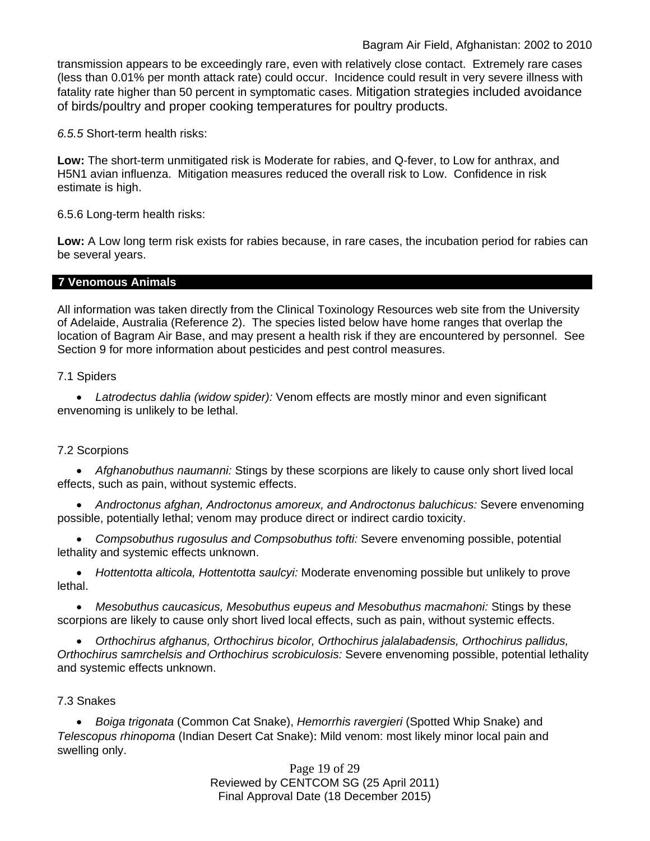transmission appears to be exceedingly rare, even with relatively close contact. Extremely rare cases (less than 0.01% per month attack rate) could occur. Incidence could result in very severe illness with fatality rate higher than 50 percent in symptomatic cases. Mitigation strategies included avoidance of birds/poultry and proper cooking temperatures for poultry products.

*6.5.5* Short-term health risks:

**Low:** The short-term unmitigated risk is Moderate for rabies, and Q-fever, to Low for anthrax, and H5N1 avian influenza. Mitigation measures reduced the overall risk to Low.Confidence in risk estimate is high.

6.5.6 Long-term health risks:

**Low:** A Low long term risk exists for rabies because, in rare cases, the incubation period for rabies can be several years.

### **7 Venomous Animals**

All information was taken directly from the Clinical Toxinology Resources web site from the University of Adelaide, Australia (Reference 2). The species listed below have home ranges that overlap the location of Bagram Air Base, and may present a health risk if they are encountered by personnel. See Section 9 for more information about pesticides and pest control measures.

7.1 Spiders

• *Latrodectus dahlia (widow spider):* Venom effects are mostly minor and even significant envenoming is unlikely to be lethal.

# 7.2 Scorpions

• *Afghanobuthus naumanni:* Stings by these scorpions are likely to cause only short lived local effects, such as pain, without systemic effects.

• *Androctonus afghan, Androctonus amoreux, and Androctonus baluchicus:* Severe envenoming possible, potentially lethal; venom may produce direct or indirect cardio toxicity.

• *Compsobuthus rugosulus and Compsobuthus tofti:* Severe envenoming possible, potential lethality and systemic effects unknown.

• *Hottentotta alticola, Hottentotta saulcyi:* Moderate envenoming possible but unlikely to prove lethal.

• *Mesobuthus caucasicus, Mesobuthus eupeus and Mesobuthus macmahoni:* Stings by these scorpions are likely to cause only short lived local effects, such as pain, without systemic effects.

• *Orthochirus afghanus, Orthochirus bicolor, Orthochirus jalalabadensis, Orthochirus pallidus, Orthochirus samrchelsis and Orthochirus scrobiculosis:* Severe envenoming possible, potential lethality and systemic effects unknown.

### 7.3 Snakes

• *[Boiga](http://www.toxinology.com/fusebox.cfm?fuseaction=main.snakes.display&id=SN0722) [trigonata](http://www.toxinology.com/fusebox.cfm?fuseaction=main.snakes.display&id=SN0722)* (Common Cat Snake), *Hemorrhis ravergieri* (Spotted Whip Snake) and *Telescopus rhinopoma* (Indian Desert Cat Snake): Mild venom: most likely minor local pain and swelling only.

> Page 19 of 29 Reviewed by CENTCOM SG (25 April 2011) Final Approval Date (18 December 2015)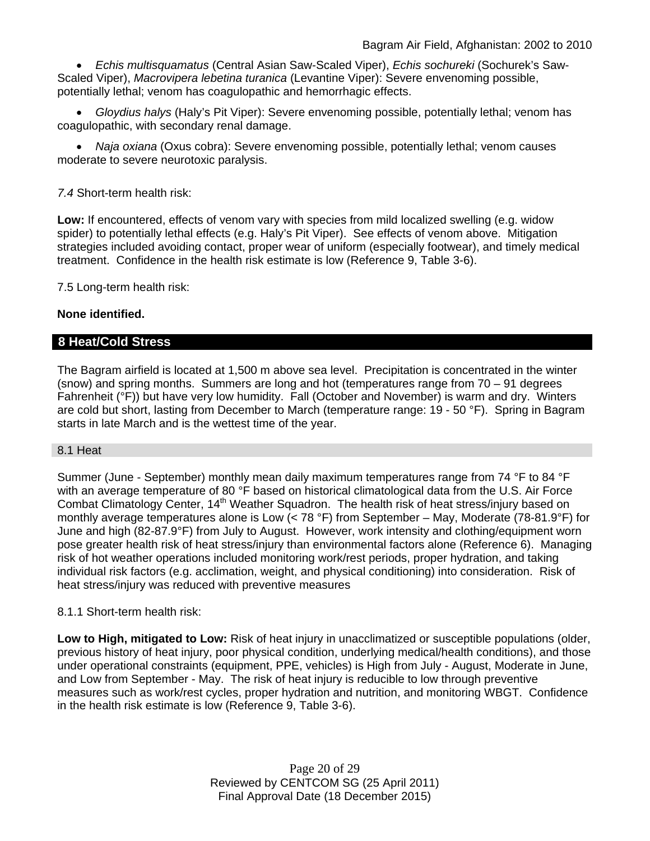• *Echis multisquamatus* (Central Asian Saw-Scaled Viper), *Echis sochureki* (Sochurek's Saw-Scaled Viper), *Macrovipera lebetina turanica* (Levantine Viper): Severe envenoming possible, potentially lethal; venom has coagulopathic and hemorrhagic effects.

• *Gloydius halys* (Haly's Pit Viper): Severe envenoming possible, potentially lethal; venom has coagulopathic, with secondary renal damage.

• *Naja oxiana* (Oxus cobra): Severe envenoming possible, potentially lethal; venom causes moderate to severe neurotoxic paralysis.

# *7.4* Short-term health risk:

**Low:** If encountered, effects of venom vary with species from mild localized swelling (e.g. widow spider) to potentially lethal effects (e.g. Haly's Pit Viper). See effects of venom above. Mitigation strategies included avoiding contact, proper wear of uniform (especially footwear), and timely medical treatment. Confidence in the health risk estimate is low (Reference 9, Table 3-6).

7.5 Long-term health risk:

# **None identified.**

# **8 Heat/Cold Stress**

The Bagram airfield is located at 1,500 m above sea level. Precipitation is concentrated in the winter (snow) and spring months. Summers are long and hot (temperatures range from 70 – 91 degrees Fahrenheit (°F)) but have very low humidity. Fall (October and November) is warm and dry. Winters are cold but short, lasting from December to March (temperature range: 19 - 50 °F). Spring in Bagram starts in late March and is the wettest time of the year.

### 8.1 Heat

Summer (June - September) monthly mean daily maximum temperatures range from 74 °F to 84 °F with an average temperature of 80 °F based on historical climatological data from the U.S. Air Force Combat Climatology Center, 14<sup>th</sup> Weather Squadron. The health risk of heat stress/injury based on monthly average temperatures alone is Low (< 78 °F) from September – May, Moderate (78-81.9°F) for June and high (82-87.9°F) from July to August. However, work intensity and clothing/equipment worn pose greater health risk of heat stress/injury than environmental factors alone (Reference 6). Managing risk of hot weather operations included monitoring work/rest periods, proper hydration, and taking individual risk factors (e.g. acclimation, weight, and physical conditioning) into consideration. Risk of heat stress/injury was reduced with preventive measures

# 8.1.1 Short-term health risk:

**Low to High, mitigated to Low:** Risk of heat injury in unacclimatized or susceptible populations (older, previous history of heat injury, poor physical condition, underlying medical/health conditions), and those under operational constraints (equipment, PPE, vehicles) is High from July - August, Moderate in June, and Low from September - May. The risk of heat injury is reducible to low through preventive measures such as work/rest cycles, proper hydration and nutrition, and monitoring WBGT. Confidence in the health risk estimate is low (Reference 9, Table 3-6).

> Page 20 of 29 Reviewed by CENTCOM SG (25 April 2011) Final Approval Date (18 December 2015)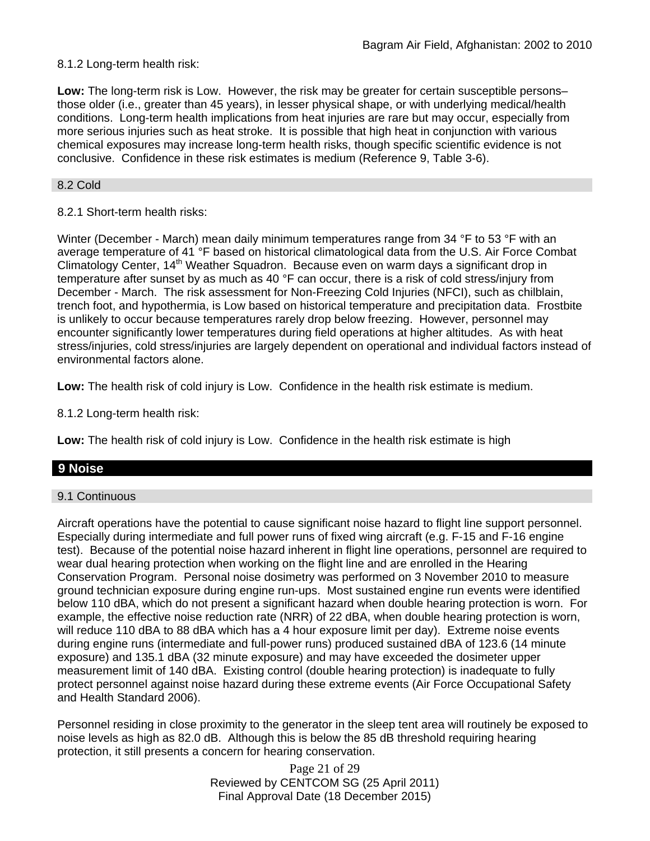# 8.1.2 Long-term health risk:

**Low:** The long-term risk is Low. However, the risk may be greater for certain susceptible persons– those older (i.e., greater than 45 years), in lesser physical shape, or with underlying medical/health conditions. Long-term health implications from heat injuries are rare but may occur, especially from more serious injuries such as heat stroke. It is possible that high heat in conjunction with various chemical exposures may increase long-term health risks, though specific scientific evidence is not conclusive. Confidence in these risk estimates is medium (Reference 9, Table 3-6).

### 8.2 Cold

# 8.2.1 Short-term health risks:

Winter (December - March) mean daily minimum temperatures range from 34 °F to 53 °F with an average temperature of 41 °F based on historical climatological data from the U.S. Air Force Combat Climatology Center, 14<sup>th</sup> Weather Squadron. Because even on warm days a significant drop in temperature after sunset by as much as 40 °F can occur, there is a risk of cold stress/injury from December - March. The risk assessment for Non-Freezing Cold Injuries (NFCI), such as chilblain, trench foot, and hypothermia, is Low based on historical temperature and precipitation data. Frostbite is unlikely to occur because temperatures rarely drop below freezing. However, personnel may encounter significantly lower temperatures during field operations at higher altitudes. As with heat stress/injuries, cold stress/injuries are largely dependent on operational and individual factors instead of environmental factors alone.

**Low:** The health risk of cold injury is Low. Confidence in the health risk estimate is medium.

8.1.2 Long-term health risk:

**Low:** The health risk of cold injury is Low. Confidence in the health risk estimate is high

# **9 Noise**

# 9.1 Continuous

Aircraft operations have the potential to cause significant noise hazard to flight line support personnel. Especially during intermediate and full power runs of fixed wing aircraft (e.g. F-15 and F-16 engine test). Because of the potential noise hazard inherent in flight line operations, personnel are required to wear dual hearing protection when working on the flight line and are enrolled in the Hearing Conservation Program. Personal noise dosimetry was performed on 3 November 2010 to measure ground technician exposure during engine run-ups. Most sustained engine run events were identified below 110 dBA, which do not present a significant hazard when double hearing protection is worn. For example, the effective noise reduction rate (NRR) of 22 dBA, when double hearing protection is worn, will reduce 110 dBA to 88 dBA which has a 4 hour exposure limit per day). Extreme noise events during engine runs (intermediate and full-power runs) produced sustained dBA of 123.6 (14 minute exposure) and 135.1 dBA (32 minute exposure) and may have exceeded the dosimeter upper measurement limit of 140 dBA. Existing control (double hearing protection) is inadequate to fully protect personnel against noise hazard during these extreme events (Air Force Occupational Safety and Health Standard 2006).

Personnel residing in close proximity to the generator in the sleep tent area will routinely be exposed to noise levels as high as 82.0 dB. Although this is below the 85 dB threshold requiring hearing protection, it still presents a concern for hearing conservation.

> Page 21 of 29 Reviewed by CENTCOM SG (25 April 2011) Final Approval Date (18 December 2015)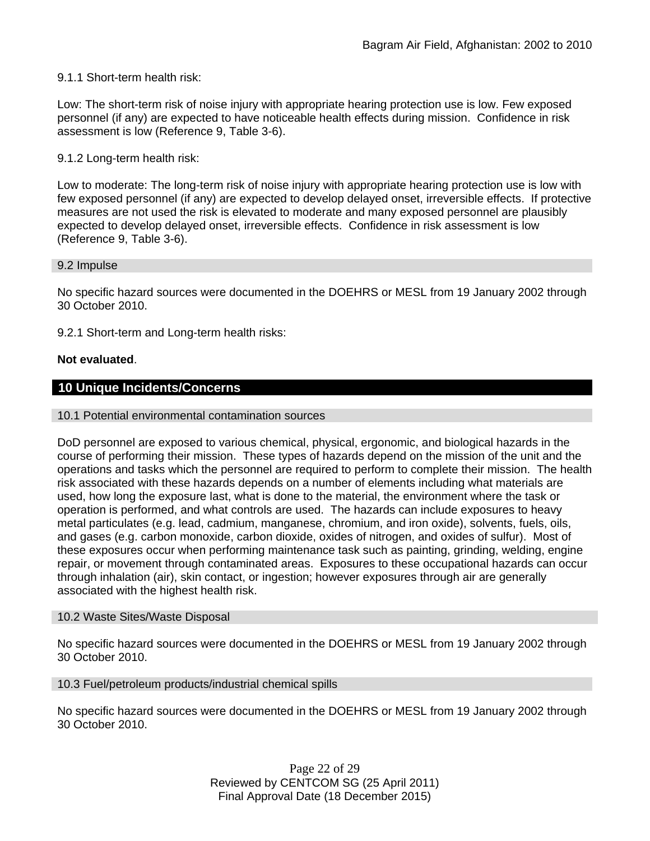# 9.1.1 Short-term health risk:

Low: The short-term risk of noise injury with appropriate hearing protection use is low. Few exposed personnel (if any) are expected to have noticeable health effects during mission. Confidence in risk assessment is low (Reference 9, Table 3-6).

9.1.2 Long-term health risk:

Low to moderate: The long-term risk of noise injury with appropriate hearing protection use is low with few exposed personnel (if any) are expected to develop delayed onset, irreversible effects. If protective measures are not used the risk is elevated to moderate and many exposed personnel are plausibly expected to develop delayed onset, irreversible effects. Confidence in risk assessment is low (Reference 9, Table 3-6).

### 9.2 Impulse

No specific hazard sources were documented in the DOEHRS or MESL from 19 January 2002 through 30 October 2010.

9.2.1 Short-term and Long-term health risks:

### **Not evaluated**.

### **10 Unique Incidents/Concerns**

### 10.1 Potential environmental contamination sources

DoD personnel are exposed to various chemical, physical, ergonomic, and biological hazards in the course of performing their mission. These types of hazards depend on the mission of the unit and the operations and tasks which the personnel are required to perform to complete their mission. The health risk associated with these hazards depends on a number of elements including what materials are used, how long the exposure last, what is done to the material, the environment where the task or operation is performed, and what controls are used. The hazards can include exposures to heavy metal particulates (e.g. lead, cadmium, manganese, chromium, and iron oxide), solvents, fuels, oils, and gases (e.g. carbon monoxide, carbon dioxide, oxides of nitrogen, and oxides of sulfur). Most of these exposures occur when performing maintenance task such as painting, grinding, welding, engine repair, or movement through contaminated areas. Exposures to these occupational hazards can occur through inhalation (air), skin contact, or ingestion; however exposures through air are generally associated with the highest health risk.

### 10.2 Waste Sites/Waste Disposal

No specific hazard sources were documented in the DOEHRS or MESL from 19 January 2002 through 30 October 2010.

### 10.3 Fuel/petroleum products/industrial chemical spills

No specific hazard sources were documented in the DOEHRS or MESL from 19 January 2002 through 30 October 2010.

> Page 22 of 29 Reviewed by CENTCOM SG (25 April 2011) Final Approval Date (18 December 2015)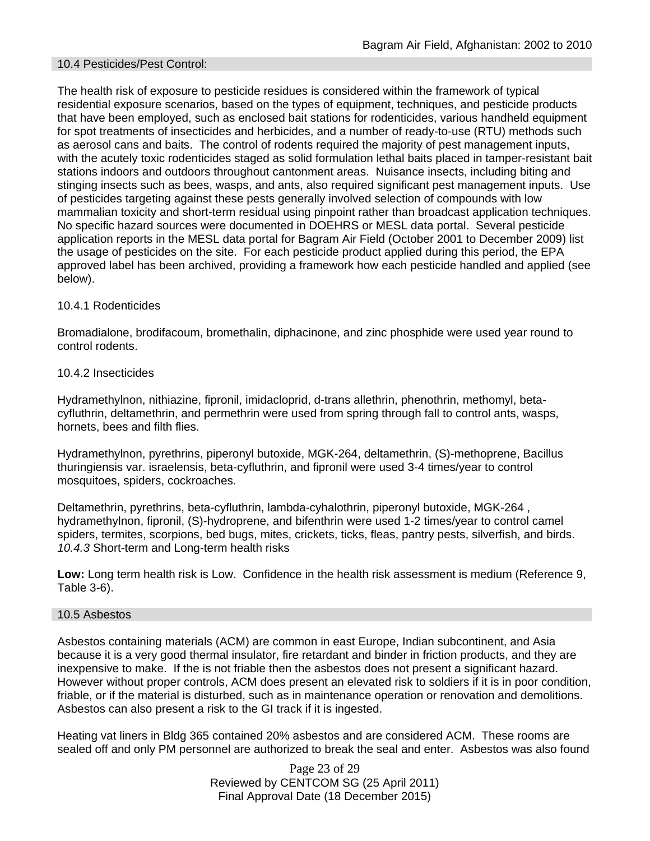### 10.4 Pesticides/Pest Control:

The health risk of exposure to pesticide residues is considered within the framework of typical residential exposure scenarios, based on the types of equipment, techniques, and pesticide products that have been employed, such as enclosed bait stations for rodenticides, various handheld equipment for spot treatments of insecticides and herbicides, and a number of ready-to-use (RTU) methods such as aerosol cans and baits. The control of rodents required the majority of pest management inputs, with the acutely toxic rodenticides staged as solid formulation lethal baits placed in tamper-resistant bait stations indoors and outdoors throughout cantonment areas. Nuisance insects, including biting and stinging insects such as bees, wasps, and ants, also required significant pest management inputs. Use of pesticides targeting against these pests generally involved selection of compounds with low mammalian toxicity and short-term residual using pinpoint rather than broadcast application techniques. No specific hazard sources were documented in DOEHRS or MESL data portal. Several pesticide application reports in the MESL data portal for Bagram Air Field (October 2001 to December 2009) list the usage of pesticides on the site. For each pesticide product applied during this period, the EPA approved label has been archived, providing a framework how each pesticide handled and applied (see below).

### 10.4.1 Rodenticides

Bromadialone, brodifacoum, bromethalin, diphacinone, and zinc phosphide were used year round to control rodents.

### 10.4.2 Insecticides

Hydramethylnon, nithiazine, fipronil, imidacloprid, d-trans allethrin, phenothrin, methomyl, betacyfluthrin, deltamethrin, and permethrin were used from spring through fall to control ants, wasps, hornets, bees and filth flies.

Hydramethylnon, pyrethrins, piperonyl butoxide, MGK-264, deltamethrin, (S)-methoprene, Bacillus thuringiensis var. israelensis, beta-cyfluthrin, and fipronil were used 3-4 times/year to control mosquitoes, spiders, cockroaches.

Deltamethrin, pyrethrins, beta-cyfluthrin, lambda-cyhalothrin, piperonyl butoxide, MGK-264 , hydramethylnon, fipronil, (S)-hydroprene, and bifenthrin were used 1-2 times/year to control camel spiders, termites, scorpions, bed bugs, mites, crickets, ticks, fleas, pantry pests, silverfish, and birds. *10.4.3* Short-term and Long-term health risks

**Low:** Long term health risk is Low. Confidence in the health risk assessment is medium (Reference 9, Table 3-6).

### 10.5 Asbestos

Asbestos containing materials (ACM) are common in east Europe, Indian subcontinent, and Asia because it is a very good thermal insulator, fire retardant and binder in friction products, and they are inexpensive to make. If the is not friable then the asbestos does not present a significant hazard. However without proper controls, ACM does present an elevated risk to soldiers if it is in poor condition, friable, or if the material is disturbed, such as in maintenance operation or renovation and demolitions. Asbestos can also present a risk to the GI track if it is ingested.

Heating vat liners in Bldg 365 contained 20% asbestos and are considered ACM. These rooms are sealed off and only PM personnel are authorized to break the seal and enter. Asbestos was also found

> Page 23 of 29 Reviewed by CENTCOM SG (25 April 2011) Final Approval Date (18 December 2015)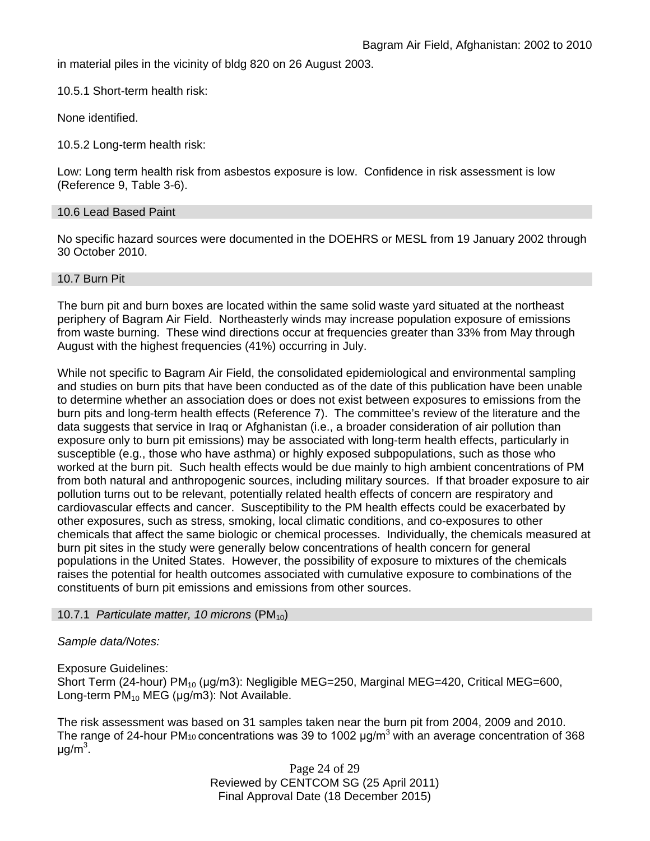in material piles in the vicinity of bldg 820 on 26 August 2003.

10.5.1 Short-term health risk:

None identified.

10.5.2 Long-term health risk:

Low: Long term health risk from asbestos exposure is low. Confidence in risk assessment is low (Reference 9, Table 3-6).

### 10.6 Lead Based Paint

No specific hazard sources were documented in the DOEHRS or MESL from 19 January 2002 through 30 October 2010.

### 10.7 Burn Pit

The burn pit and burn boxes are located within the same solid waste yard situated at the northeast periphery of Bagram Air Field. Northeasterly winds may increase population exposure of emissions from waste burning. These wind directions occur at frequencies greater than 33% from May through August with the highest frequencies (41%) occurring in July.

While not specific to Bagram Air Field, the consolidated epidemiological and environmental sampling and studies on burn pits that have been conducted as of the date of this publication have been unable to determine whether an association does or does not exist between exposures to emissions from the burn pits and long-term health effects (Reference 7). The committee's review of the literature and the data suggests that service in Iraq or Afghanistan (i.e., a broader consideration of air pollution than exposure only to burn pit emissions) may be associated with long-term health effects, particularly in susceptible (e.g., those who have asthma) or highly exposed subpopulations, such as those who worked at the burn pit. Such health effects would be due mainly to high ambient concentrations of PM from both natural and anthropogenic sources, including military sources. If that broader exposure to air pollution turns out to be relevant, potentially related health effects of concern are respiratory and cardiovascular effects and cancer. Susceptibility to the PM health effects could be exacerbated by other exposures, such as stress, smoking, local climatic conditions, and co-exposures to other chemicals that affect the same biologic or chemical processes. Individually, the chemicals measured at burn pit sites in the study were generally below concentrations of health concern for general populations in the United States. However, the possibility of exposure to mixtures of the chemicals raises the potential for health outcomes associated with cumulative exposure to combinations of the constituents of burn pit emissions and emissions from other sources.

# 10.7.1 *Particulate matter, 10 microns* (PM10)

# *Sample data/Notes:*

Exposure Guidelines:

Short Term (24-hour) PM<sub>10</sub> (μg/m3): Negligible MEG=250, Marginal MEG=420, Critical MEG=600, Long-term  $PM_{10}$  MEG ( $\mu$ g/m3): Not Available.

The risk assessment was based on 31 samples taken near the burn pit from 2004, 2009 and 2010. The range of 24-hour PM<sub>10</sub> concentrations was 39 to 1002  $\mu q/m^3$  with an average concentration of 368 μg/m $^3$ .

> Page 24 of 29 Reviewed by CENTCOM SG (25 April 2011) Final Approval Date (18 December 2015)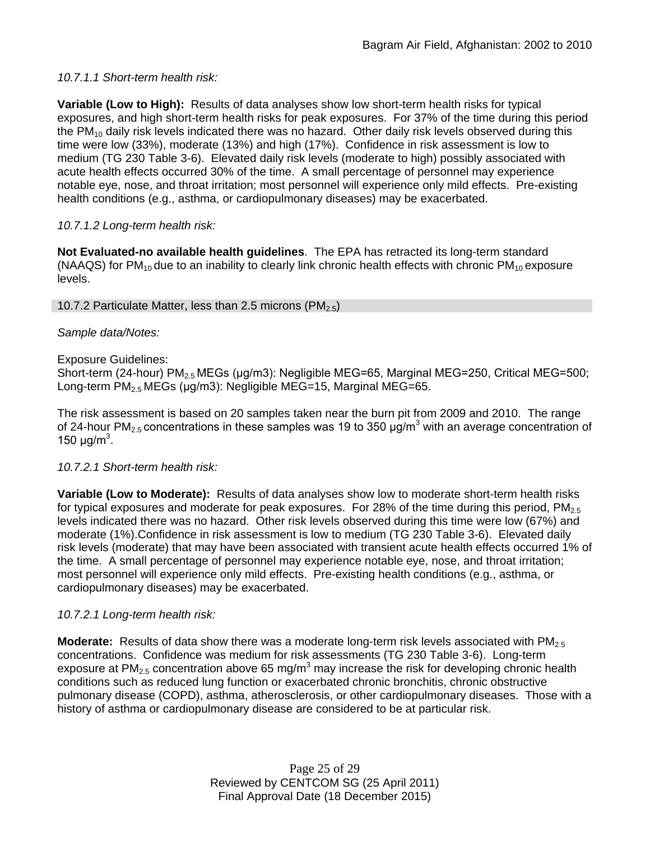# *10.7.1.1 Short-term health risk:*

**Variable (Low to High):** Results of data analyses show low short-term health risks for typical exposures, and high short-term health risks for peak exposures. For 37% of the time during this period the  $PM_{10}$  daily risk levels indicated there was no hazard. Other daily risk levels observed during this time were low (33%), moderate (13%) and high (17%). Confidence in risk assessment is low to medium (TG 230 Table 3-6). Elevated daily risk levels (moderate to high) possibly associated with acute health effects occurred 30% of the time. A small percentage of personnel may experience notable eye, nose, and throat irritation; most personnel will experience only mild effects. Pre-existing health conditions (e.g., asthma, or cardiopulmonary diseases) may be exacerbated.

# *10.7.1.2 Long-term health risk:*

**Not Evaluated-no available health guidelines**. The EPA has retracted its long-term standard (NAAQS) for PM<sub>10</sub> due to an inability to clearly link chronic health effects with chronic PM<sub>10</sub> exposure levels.

# 10.7.2 Particulate Matter, less than 2.5 microns (PM<sub>2.5</sub>)

# *Sample data/Notes:*

# Exposure Guidelines:

Short-term (24-hour) PM<sub>2.5</sub> MEGs (μg/m3): Negligible MEG=65, Marginal MEG=250, Critical MEG=500; Long-term  $PM<sub>2.5</sub> MEGs$  (µg/m3): Negligible MEG=15, Marginal MEG=65.

The risk assessment is based on 20 samples taken near the burn pit from 2009 and 2010. The range of 24-hour PM<sub>2.5</sub> concentrations in these samples was 19 to 350  $\mu$ g/m<sup>3</sup> with an average concentration of 150 μg/m<sup>3</sup>.

# *10.7.2.1 Short-term health risk:*

**Variable (Low to Moderate):** Results of data analyses show low to moderate short-term health risks for typical exposures and moderate for peak exposures. For 28% of the time during this period,  $PM_{2.5}$ levels indicated there was no hazard. Other risk levels observed during this time were low (67%) and moderate (1%).Confidence in risk assessment is low to medium (TG 230 Table 3-6). Elevated daily risk levels (moderate) that may have been associated with transient acute health effects occurred 1% of the time. A small percentage of personnel may experience notable eye, nose, and throat irritation; most personnel will experience only mild effects. Pre-existing health conditions (e.g., asthma, or cardiopulmonary diseases) may be exacerbated.

# *10.7.2.1 Long-term health risk:*

**Moderate:** Results of data show there was a moderate long-term risk levels associated with PM<sub>2.5</sub> concentrations. Confidence was medium for risk assessments (TG 230 Table 3-6). Long-term exposure at  $PM_{2.5}$  concentration above 65 mg/m<sup>3</sup> may increase the risk for developing chronic health conditions such as reduced lung function or exacerbated chronic bronchitis, chronic obstructive pulmonary disease (COPD), asthma, atherosclerosis, or other cardiopulmonary diseases. Those with a history of asthma or cardiopulmonary disease are considered to be at particular risk.

> Page 25 of 29 Reviewed by CENTCOM SG (25 April 2011) Final Approval Date (18 December 2015)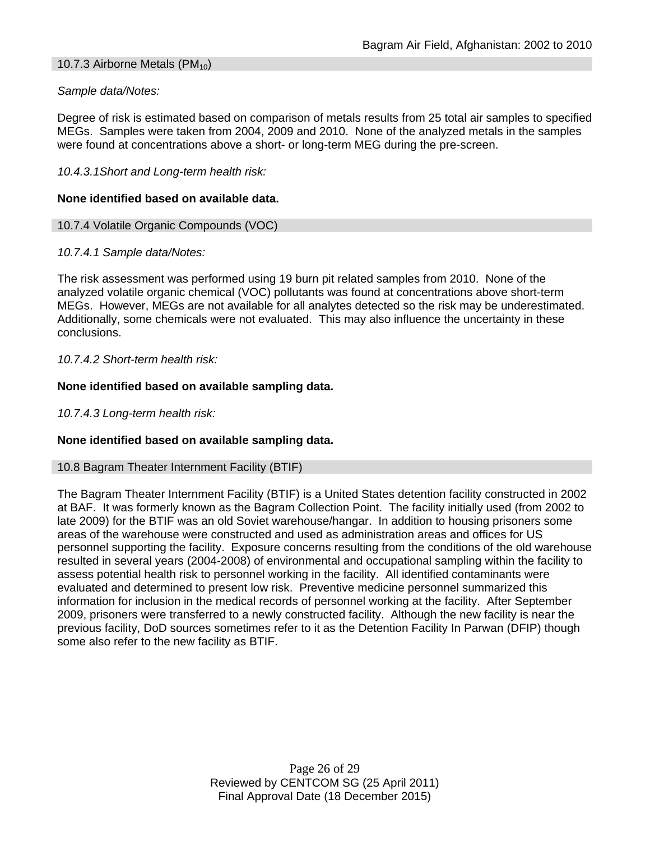### 10.7.3 Airborne Metals  $(PM_{10})$

*Sample data/Notes:*

Degree of risk is estimated based on comparison of metals results from 25 total air samples to specified MEGs. Samples were taken from 2004, 2009 and 2010. None of the analyzed metals in the samples were found at concentrations above a short- or long-term MEG during the pre-screen.

*10.4.3.1Short and Long-term health risk:*

### **None identified based on available data.**

10.7.4 Volatile Organic Compounds (VOC)

*10.7.4.1 Sample data/Notes:*

The risk assessment was performed using 19 burn pit related samples from 2010. None of the analyzed volatile organic chemical (VOC) pollutants was found at concentrations above short-term MEGs. However, MEGs are not available for all analytes detected so the risk may be underestimated. Additionally, some chemicals were not evaluated. This may also influence the uncertainty in these conclusions.

*10.7.4.2 Short-term health risk:*

### **None identified based on available sampling data.**

*10.7.4.3 Long-term health risk:*

# **None identified based on available sampling data.**

### 10.8 Bagram Theater Internment Facility (BTIF)

The Bagram Theater Internment Facility (BTIF) is a United States detention facility constructed in 2002 at BAF. It was formerly known as the Bagram Collection Point. The facility initially used (from 2002 to late 2009) for the BTIF was an old Soviet warehouse/hangar. In addition to housing prisoners some areas of the warehouse were constructed and used as administration areas and offices for US personnel supporting the facility. Exposure concerns resulting from the conditions of the old warehouse resulted in several years (2004-2008) of environmental and occupational sampling within the facility to assess potential health risk to personnel working in the facility. All identified contaminants were evaluated and determined to present low risk. Preventive medicine personnel summarized this information for inclusion in the medical records of personnel working at the facility. After September 2009, prisoners were transferred to a newly constructed facility. Although the new facility is near the previous facility, DoD sources sometimes refer to it as the Detention Facility In Parwan (DFIP) though some also refer to the new facility as BTIF.

> Page 26 of 29 Reviewed by CENTCOM SG (25 April 2011) Final Approval Date (18 December 2015)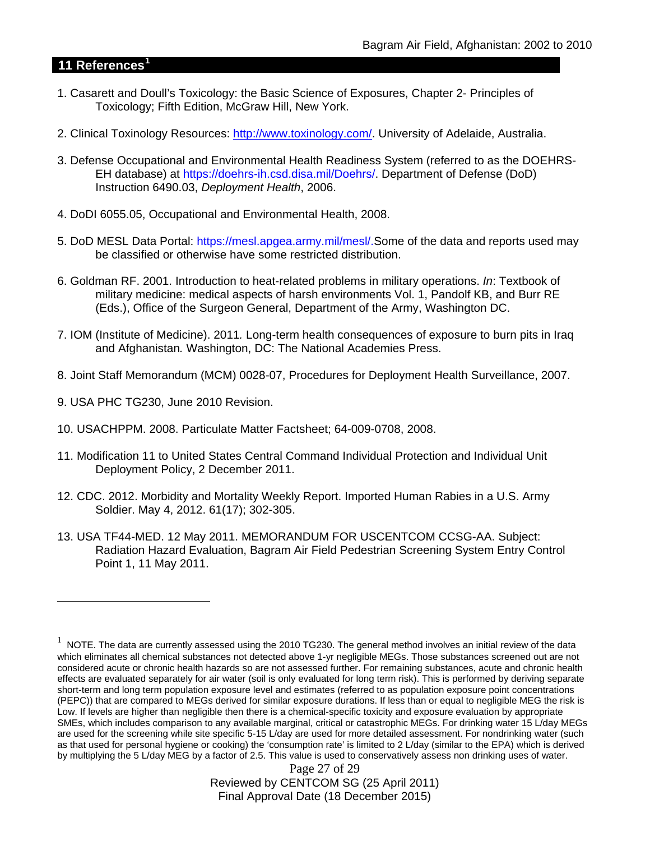# **11 References[1](#page-26-0)**

- 1. Casarett and Doull's Toxicology: the Basic Science of Exposures, Chapter 2- Principles of Toxicology; Fifth Edition, McGraw Hill, New York.
- 2. Clinical Toxinology Resources: [http://www.toxinology.com/.](http://www.toxinology.com/) University of Adelaide, Australia.
- 3. Defense Occupational and Environmental Health Readiness System (referred to as the DOEHRS-EH database) at https://doehrs-ih.csd.disa.mil/Doehrs/. Department of Defense (DoD) Instruction 6490.03, *Deployment Health*, 2006.
- 4. DoDI 6055.05, Occupational and Environmental Health, 2008.
- 5. DoD MESL Data Portal: https://mesl.apgea.army.mil/mesl/.Some of the data and reports used may be classified or otherwise have some restricted distribution.
- 6. Goldman RF. 2001. Introduction to heat-related problems in military operations. *In*: Textbook of military medicine: medical aspects of harsh environments Vol. 1, Pandolf KB, and Burr RE (Eds.), Office of the Surgeon General, Department of the Army, Washington DC.
- 7. IOM (Institute of Medicine). 2011*.* Long-term health consequences of exposure to burn pits in Iraq and Afghanistan*.* Washington, DC: The National Academies Press.
- 8. Joint Staff Memorandum (MCM) 0028-07, Procedures for Deployment Health Surveillance, 2007.
- 9. USA PHC TG230, June 2010 Revision.

 $\overline{a}$ 

- 10. USACHPPM. 2008. Particulate Matter Factsheet; 64-009-0708, 2008.
- 11. Modification 11 to United States Central Command Individual Protection and Individual Unit Deployment Policy, 2 December 2011.
- 12. CDC. 2012. Morbidity and Mortality Weekly Report. Imported Human Rabies in a U.S. Army Soldier. May 4, 2012. 61(17); 302-305.
- 13. USA TF44-MED. 12 May 2011. MEMORANDUM FOR USCENTCOM CCSG-AA. Subject: Radiation Hazard Evaluation, Bagram Air Field Pedestrian Screening System Entry Control Point 1, 11 May 2011.

Page 27 of 29 Reviewed by CENTCOM SG (25 April 2011) Final Approval Date (18 December 2015)

<span id="page-26-0"></span> $1$  NOTE. The data are currently assessed using the 2010 TG230. The general method involves an initial review of the data which eliminates all chemical substances not detected above 1-yr negligible MEGs. Those substances screened out are not considered acute or chronic health hazards so are not assessed further. For remaining substances, acute and chronic health effects are evaluated separately for air water (soil is only evaluated for long term risk). This is performed by deriving separate short-term and long term population exposure level and estimates (referred to as population exposure point concentrations (PEPC)) that are compared to MEGs derived for similar exposure durations. If less than or equal to negligible MEG the risk is Low. If levels are higher than negligible then there is a chemical-specific toxicity and exposure evaluation by appropriate SMEs, which includes comparison to any available marginal, critical or catastrophic MEGs. For drinking water 15 L/day MEGs are used for the screening while site specific 5-15 L/day are used for more detailed assessment. For nondrinking water (such as that used for personal hygiene or cooking) the 'consumption rate' is limited to 2 L/day (similar to the EPA) which is derived by multiplying the 5 L/day MEG by a factor of 2.5. This value is used to conservatively assess non drinking uses of water.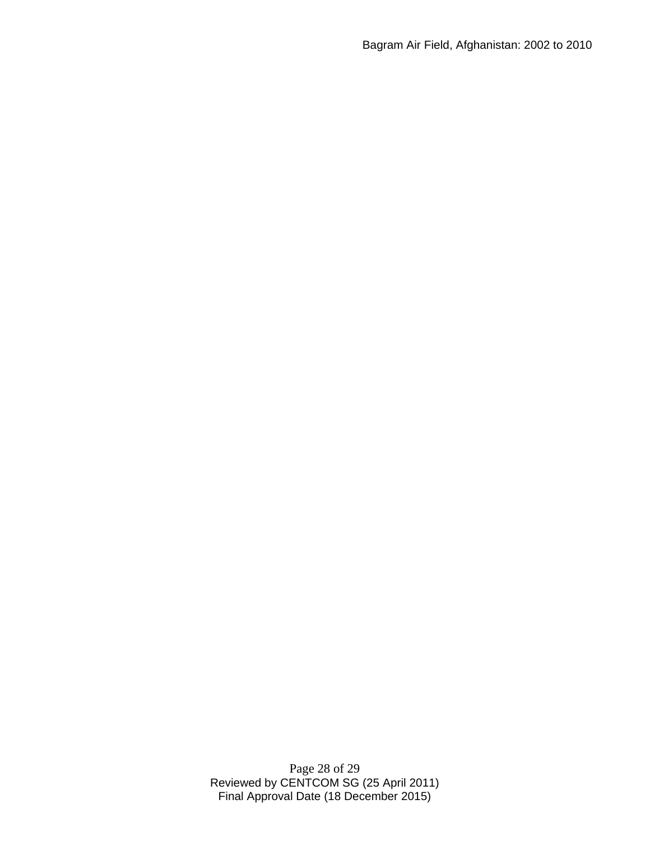Page 28 of 29 Reviewed by CENTCOM SG (25 April 2011) Final Approval Date (18 December 2015)